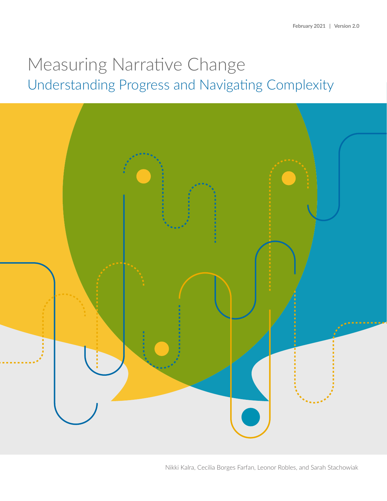# Measuring Narrative Change Understanding Progress and Navigating Complexity



Nikki Kalra, Cecilia Borges Farfan, Leonor Robles, and Sarah Stachowiak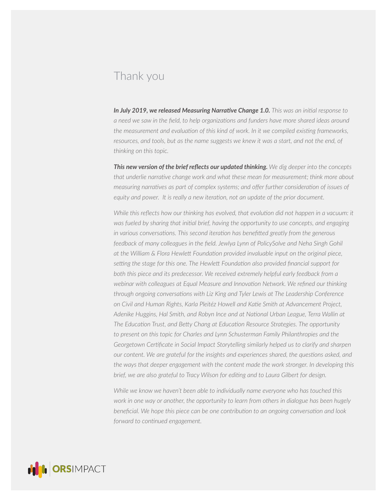## Thank you

*In July 2019, we released Measuring Narrative Change 1.0. This was an initial response to a need we saw in the field, to help organizations and funders have more shared ideas around the measurement and evaluation of this kind of work. In it we compiled existing frameworks,*  resources, and tools, but as the name suggests we knew it was a start, and not the end, of *thinking on this topic.* 

*This new version of the brief reflects our updated thinking. We dig deeper into the concepts that underlie narrative change work and what these mean for measurement; think more about measuring narratives as part of complex systems; and offer further consideration of issues of equity and power. It is really a new iteration, not an update of the prior document.*

*While this reflects how our thinking has evolved, that evolution did not happen in a vacuum: it was fueled by sharing that initial brief, having the opportunity to use concepts, and engaging in various conversations. This second iteration has benefitted greatly from the generous*  feedback of many colleagues in the field. Jewlya Lynn of PolicySolve and Neha Singh Gohil *at the William & Flora Hewlett Foundation provided invaluable input on the original piece, setting the stage for this one. The Hewlett Foundation also provided financial support for both this piece and its predecessor. We received extremely helpful early feedback from a webinar with colleagues at Equal Measure and Innovation Network. We refined our thinking through ongoing conversations with Liz King and Tyler Lewis at The Leadership Conference on Civil and Human Rights, Karla Pleitéz Howell and Katie Smith at Advancement Project, Adenike Huggins, Hal Smith, and Robyn Ince and at National Urban League, Terra Wallin at The Education Trust, and Betty Chang at Education Resource Strategies. The opportunity to present on this topic for Charles and Lynn Schusterman Family Philanthropies and the Georgetown Certificate in Social Impact Storytelling similarly helped us to clarify and sharpen our content. We are grateful for the insights and experiences shared, the questions asked, and the ways that deeper engagement with the content made the work stronger. In developing this brief, we are also grateful to Tracy Wilson for editing and to Laura Gilbert for design.* 

*While we know we haven't been able to individually name everyone who has touched this work in one way or another, the opportunity to learn from others in dialogue has been hugely beneficial. We hope this piece can be one contribution to an ongoing conversation and look forward to continued engagement.*

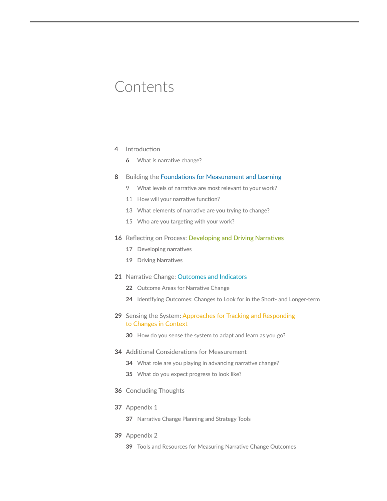## Contents

#### [Introduction](#page-3-0)

[What is narrative change?](#page-5-0) 

#### [Building the Foundations for Measurement and Learning](#page-7-0)

- [What levels of narrative are most relevant to your work?](#page-8-0)
- [How will your narrative function?](#page-10-0)
- [What elements of narrative are you trying to change?](#page-12-0)
- [Who are you targeting with your work?](#page-14-0)

#### [Reflecting on Process: Developing and Driving Narratives](#page-15-0)

- [Developing narratives](#page-16-0)
- [Driving Narratives](#page-18-0)

#### [Narrative Change: Outcomes and Indicators](#page-20-0)

- [Outcome Areas for Narrative Change](#page-21-0)
- [Identifying Outcomes: Changes to Look for in the Short- and Longer-term](#page-23-0)
- [Sensing the System: Approaches for Tracking and Responding](#page-28-0)  [to Changes in Context](#page-28-0)
	- [How do you sense the system to adapt and learn as you go?](#page-29-0)
- [Additional Considerations for Measurement](#page-33-0) 
	- [What role are you playing in advancing narrative change?](#page-33-0)
	- [What do you expect progress to look like?](#page-34-0)
- [Concluding Thoughts](#page-35-0)
- [Appendix 1](#page-36-0)
	- [Narrative Change Planning and Strategy Tools](#page-36-0)
- [Appendix 2](#page-38-0)
	- [Tools and Resources for Measuring Narrative Change Outcomes](#page-38-0)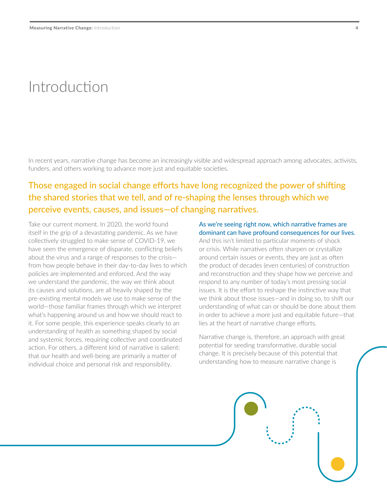## <span id="page-3-0"></span>Introduction

In recent years, narrative change has become an increasingly visible and widespread approach among advocates, activists, funders, and others working to advance more just and equitable societies.

### Those engaged in social change efforts have long recognized the power of shifting the shared stories that we tell, and of re-shaping the lenses through which we perceive events, causes, and issues—of changing narratives.

Take our current moment. In 2020, the world found itself in the grip of a devastating pandemic. As we have collectively struggled to make sense of COVID-19, we have seen the emergence of disparate, conflicting beliefs about the virus and a range of responses to the crisis from how people behave in their day-to-day lives to which policies are implemented and enforced. And the way we understand the pandemic, the way we think about its causes and solutions, are all heavily shaped by the pre-existing mental models we use to make sense of the world—those familiar frames through which we interpret what's happening around us and how we should react to it. For some people, this experience speaks clearly to an understanding of health as something shaped by social and systemic forces, requiring collective and coordinated action. For others, a different kind of narrative is salient: that our health and well-being are primarily a matter of individual choice and personal risk and responsibility.

#### As we're seeing right now, which narrative frames are dominant can have profound consequences for our lives.

And this isn't limited to particular moments of shock or crisis. While narratives often sharpen or crystallize around certain issues or events, they are just as often the product of decades (even centuries) of construction and reconstruction and they shape how we perceive and respond to any number of today's most pressing social issues. It is the effort to reshape the instinctive way that we think about those issues—and in doing so, to shift our understanding of what can or should be done about them in order to achieve a more just and equitable future—that lies at the heart of narrative change efforts.

Narrative change is, therefore, an approach with great potential for seeding transformative, durable social change. It is precisely because of this potential that understanding how to measure narrative change is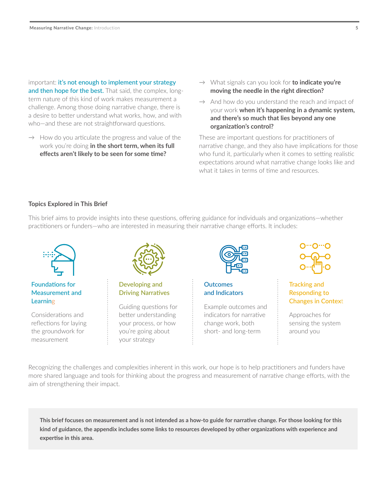important: it's not enough to implement your strategy and then hope for the best. That said, the complex, longterm nature of this kind of work makes measurement a challenge. Among those doing narrative change, there is a desire to better understand what works, how, and with who—and these are not straightforward questions.

- $\rightarrow$  How do you articulate the progress and value of the work you're doing **in the short term, when its full effects aren't likely to be seen for some time?**
- → What signals can you look for **to indicate you're moving the needle in the right direction?**
- $\rightarrow$  And how do you understand the reach and impact of your work **when it's happening in a dynamic system, and there's so much that lies beyond any one organization's control?**

These are important questions for practitioners of narrative change, and they also have implications for those who fund it, particularly when it comes to setting realistic expectations around what narrative change looks like and what it takes in terms of time and resources.

#### **Topics Explored in This Brief**

This brief aims to provide insights into these questions, offering guidance for individuals and organizations—whether practitioners or funders—who are interested in measuring their narrative change efforts. It includes:



#### Foundations for Measurement and **Learning**

Considerations and reflections for laying the groundwork for measurement



Developing and Driving Narratives

Guiding questions for better understanding your process, or how you're going about your strategy



**Outcomes** and Indicators

Example outcomes and indicators for narrative change work, both short- and long-term



Tracking and Responding to Changes in Context

Approaches for sensing the system around you

Recognizing the challenges and complexities inherent in this work, our hope is to help practitioners and funders have more shared language and tools for thinking about the progress and measurement of narrative change efforts, with the aim of strengthening their impact.

**This brief focuses on measurement and is not intended as a how-to guide for narrative change. For those looking for this kind of guidance, the appendix includes some links to resources developed by other organizations with experience and expertise in this area.**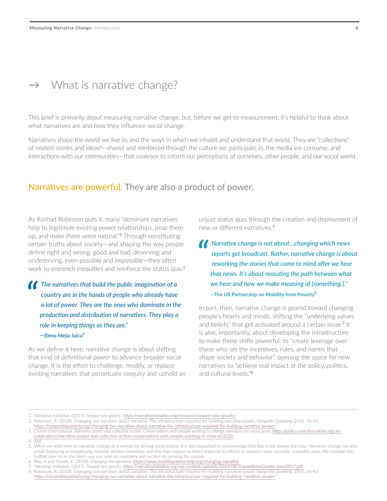### <span id="page-5-0"></span> $\rightarrow$  What is narrative change?

This brief is primarily about measuring narrative change, but, before we get to measurement, it's helpful to think about what narratives are and how they influence social change.

Narratives shape the world we live in, and the ways in which we inhabit and understand that world. They are "collections" of related stories and ideas<sup>1</sup>—shared and reinforced through the culture we participate in, the media we consume, and interactions with our communities—that coalesce to inform our perceptions of ourselves, other people, and our social world.

### Narratives are powerful. They are also a product of power.

As Rashad Robinson puts it, many "dominant narratives help to legitimize existing power relationships, prop them up, and make them seem natural."<sup>2</sup> Through constituting certain truths about society—and shaping the way people define right and wrong, good and bad, deserving and undeserving, even possible and impossible—they often work to entrench inequities and reinforce the status quo. 3

### *The narratives that build the public imagination of a*<br> *country are in the hands of people who already have*<br> *a* lot of power. They are the ones who dominate in th *country are in the hands of people who already have a lot of power. They are the ones who dominate in the production and distribution of narratives. They play a role in keeping things as they are." —***Elena Mejía Julca**<sup>4</sup>

As we define it here, narrative change is about shifting that kind of definitional power to advance broader social change. It is the effort to challenge, modify, or replace existing narratives that perpetuate inequity and uphold an unjust status quo, through the creation and deployment of new or different narratives.<sup>5</sup>

**//** Narrative change is not about...changing which news reports get broadcast. Rather, narrative change is abo reworking the stories that come to mind after we hear *reports get broadcast. Rather, narrative change is about reworking the stories that come to mind after we hear that news. It's about rerouting the path between what we hear and how we make meaning of [something.]."* **—The US Partnership on Mobility from Poverty**<sup>6</sup>

In part, then, narrative change is geared toward changing people's hearts and minds, shifting the "underlying values and beliefs" that get activated around a certain issue.<sup>7</sup> It is also, importantly, about developing the infrastructure to make those shifts powerful: to "create leverage over those who set the incentives, rules, and norms that shape society and behavior", opening the space for new narratives to "achieve real impact at the policy, politics, and cultural levels."8

<sup>1.</sup> Narrative Initiative. (2017). *Toward new gravity.* https://narrativeinitiative.org/resource/toward-new-gravity/

<sup>2.</sup> Robinson, R. (2018). Changing our narrative about narrative: The infrastructure required for building narrative power. *Nonprofit Quarterly,* 25(4), 36-43.

<https://nonprofitquarterly.org/changing-our-narrative-about-narrative-the-infrastructure-required-for-building-narrative-power/> 3. Oxfam International. *Narrative power and collective action: Conversations with people working to change narratives for social good.* [https://policy-practice.oxfam.org.uk/](https://policy-practice.oxfam.org.uk/publications/narrative-power-and-collective-action-conversations-with-people-working-to-chan-621020)

[publications/narrative-power-and-collective-action-conversations-with-people-working-to-chan-621020](https://policy-practice.oxfam.org.uk/publications/narrative-power-and-collective-action-conversations-with-people-working-to-chan-621020)

<sup>4.</sup> Ibid

<sup>5.</sup> While we refer here to narrative change as a vehicle for driving social justice, it is also important to acknowledge that this is not always the case. Narrative change can also entail deploying or redeploying harmful, divisive narratives, and this may happen in direct response to efforts to advance more accurate, equitable ones. We consider this further later on in the brief—see our note on neutrality and section on sensing the system.

<sup>6.</sup> Poo, A and Shaafir, E. (2018). *Changing the narrative.* <https://www.mobilitypartnership.org/changing-narrative>

<sup>7.</sup> Narrative Initiative. (2017). *Toward new gravity.* [https://narrativeinitiative.org/wp-content/uploads/2019/08/TowardNewGravity-June2017.pdf](https://narrativeinitiative.org/resource/toward-new-gravity/)

<sup>8.</sup> Robinson, R. (2018). Changing our narrative about narrative: The infrastructure required for building narrative power. *Nonprofit Quarterly,* 25(4), 36-43. [https://nonprofitquarterly.org/changing-our-narrative-about-narrative-the-infrastructure-required-for-building-narrative-power/](https://nonprofitquarterly.org/changing-our-narrative-about-narrative-the-infrastructure-required-for-building-narrative-power/ )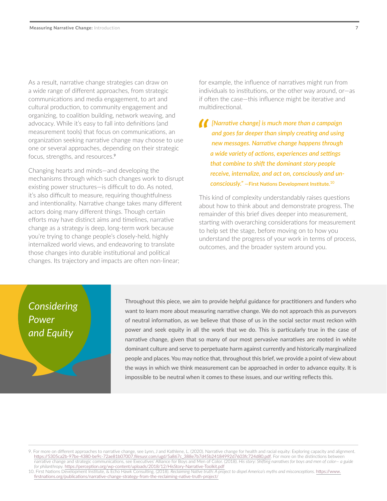As a result, narrative change strategies can draw on a wide range of different approaches, from strategic communications and media engagement, to art and cultural production, to community engagement and organizing, to coalition building, network weaving, and advocacy. While it's easy to fall into definitions (and measurement tools) that focus on communications, an organization seeking narrative change may choose to use one or several approaches, depending on their strategic focus, strengths, and resources.<sup>9</sup>

Changing hearts and minds—and developing the mechanisms through which such changes work to disrupt existing power structures—is difficult to do. As noted, it's also difficult to measure, requiring thoughtfulness and intentionality. Narrative change takes many different actors doing many different things. Though certain efforts may have distinct aims and timelines, narrative change as a strategy is deep, long-term work because you're trying to change people's closely-held, highly internalized world views, and endeavoring to translate those changes into durable institutional and political changes. Its trajectory and impacts are often non-linear;

for example, the influence of narratives might run from individuals to institutions, or the other way around, or—as if often the case—this influence might be iterative and multidirectional.

**/** [Narrative change] is much more than a campaign<br>
and goes far deeper than simply creating and using<br>
new messages. Narrative change happens through *and goes far deeper than simply creating and using new messages. Narrative change happens through a wide variety of actions, experiences and settings that combine to shift the dominant story people receive, internalize, and act on, consciously and unconsciously."* **—First Nations Development Institute.**<sup>10</sup>

This kind of complexity understandably raises questions about how to think about and demonstrate progress. The remainder of this brief dives deeper into measurement, starting with overarching considerations for measurement to help set the stage, before moving on to how you understand the progress of your work in terms of process, outcomes, and the broader system around you.

## *Considering Power and Equity*

Throughout this piece, we aim to provide helpful guidance for practitioners and funders who want to learn more about measuring narrative change. We do not approach this as purveyors of neutral information, as we believe that those of us in the social sector must reckon with power and seek equity in all the work that we do. This is particularly true in the case of narrative change, given that so many of our most pervasive narratives are rooted in white dominant culture and serve to perpetuate harm against currently and historically marginalized people and places. You may notice that, throughout this brief, we provide a point of view about the ways in which we think measurement can be approached in order to advance equity. It is impossible to be neutral when it comes to these issues, and our writing reflects this.

<sup>9.</sup> For more on different approaches to narrative change, see Lynn, J and Kathlene, L. (2020). Narrative change for health and racial equity: Exploring capacity and alignment. [https://5305ca2b-97be-4380-be9c-72ae81b07007.filesusr.com/ugd/5a867c\\_388e7b7d45b24184992d7603fc724d80.pdf.](https://5305ca2b-97be-4380-be9c-72ae81b07007.filesusr.com/ugd/5a867c_388e7b7d45b24184992d7603fc724d80.pdf) For more on the distinctions between narrative change and strategic communications, see Executives' Alliance for Boys and Men of Color. (2018). *His story: Shifting narratives for boys and men of color— a guide for philanthropy.* [https://perception.org/wp-content/uploads/2018/12/HisStory-Narrative-Toolkit.pdf](https://5305ca2b-97be-4380-be9c-72ae81b07007.filesusr.com/ugd/5a867c_388e7b7d45b24184992d7603fc724d80.pdf)

<sup>10.</sup> First Nations Development Institute, & Echo Hawk Consulting. (2018). *Reclaiming Native truth: A project to dispel America's myths and misconceptions.* [https://www.](https://www.firstnations.org/publications/narrative-change-strategy-from-the-reclaiming-native-truth-project/) [firstnations.org/publications/narrative-change-strategy-from-the-reclaiming-native-truth-project/](https://www.firstnations.org/publications/narrative-change-strategy-from-the-reclaiming-native-truth-project/)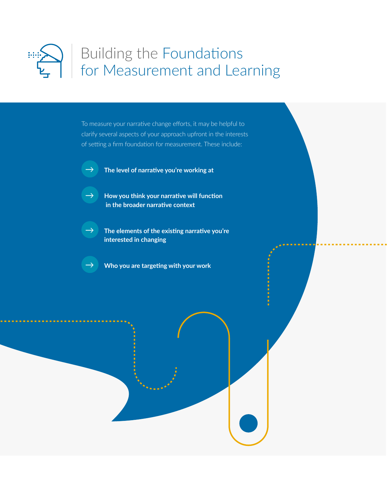<span id="page-7-0"></span>

## Building the Foundations for Measurement and Learning

To measure your narrative change efforts, it may be helpful to clarify several aspects of your approach upfront in the interests of setting a firm foundation for measurement. These include:

- 
- → **The level of narrative you're working at**
- → **How you think your narrative will function in the broader narrative context**
- → **The elements of the existing narrative you're interested in changing**
- $\rightarrow$   $\blacksquare$  Who you are targeting with your work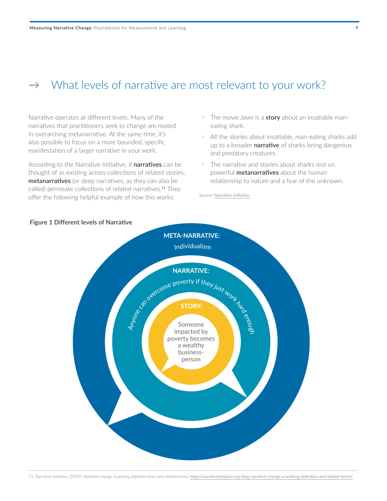## <span id="page-8-0"></span> $\rightarrow$  What levels of narrative are most relevant to your work?

Narrative operates at different levels. Many of the narratives that practitioners seek to change are rooted in overarching metanarrative. At the same time, it's also possible to focus on a more bounded, specific manifestation of a larger narrative in your work.

According to the Narrative Initiative, if **narratives** can be thought of as existing across collections of related stories, **metanarratives** (or deep narratives, as they can also be called) permeate collections of related narratives.<sup>11</sup> They offer the following helpful example of how this works:

- ҉ The movie Jaws is a **story** about an insatiable maneating shark.
- » All the stories about insatiable, man-eating sharks add up to a broader **narrative** of sharks being dangerous and predatory creatures.
- » The narrative and stories about sharks rest on powerful **metanarratives** about the human relationship to nature and a fear of the unknown.

Source: [Narrative Initiative.](https://narrativeinitiative.org/blog/narrative-change-a-working-definition-and-related-terms/)



#### **Figure 1 Different levels of Narrative**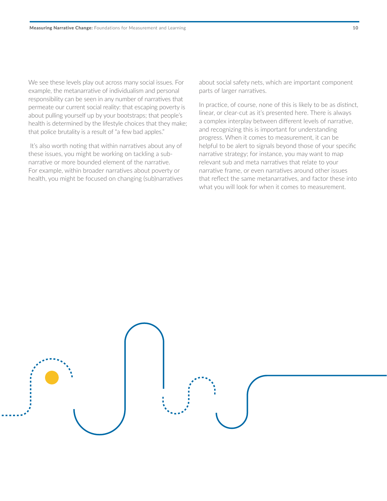We see these levels play out across many social issues. For example, the metanarrative of individualism and personal responsibility can be seen in any number of narratives that permeate our current social reality: that escaping poverty is about pulling yourself up by your bootstraps; that people's health is determined by the lifestyle choices that they make; that police brutality is a result of "a few bad apples."

 It's also worth noting that within narratives about any of these issues, you might be working on tackling a subnarrative or more bounded element of the narrative. For example, within broader narratives about poverty or health, you might be focused on changing (sub)narratives about social safety nets, which are important component parts of larger narratives.

In practice, of course, none of this is likely to be as distinct, linear, or clear-cut as it's presented here. There is always a complex interplay between different levels of narrative, and recognizing this is important for understanding progress. When it comes to measurement, it can be helpful to be alert to signals beyond those of your specific narrative strategy; for instance, you may want to map relevant sub and meta narratives that relate to your narrative frame, or even narratives around other issues that reflect the same metanarratives, and factor these into what you will look for when it comes to measurement.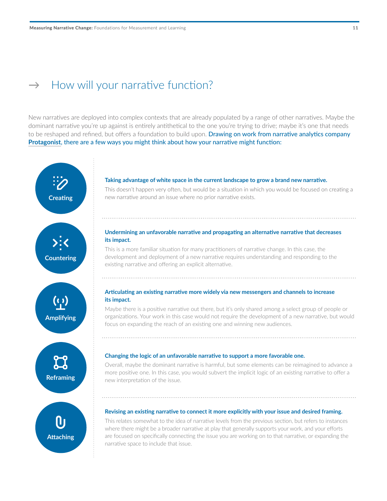### <span id="page-10-0"></span> $\rightarrow$  How will your narrative function?

New narratives are deployed into complex contexts that are already populated by a range of other narratives. Maybe the dominant narrative you're up against is entirely antithetical to the one you're trying to drive; maybe it's one that needs to be reshaped and refined, but offers a foundation to build upon. Drawing on work from narrative analytics company **[Protagonist](https://www.protagonist.io)**, there are a few ways you might think about how your narrative might function:

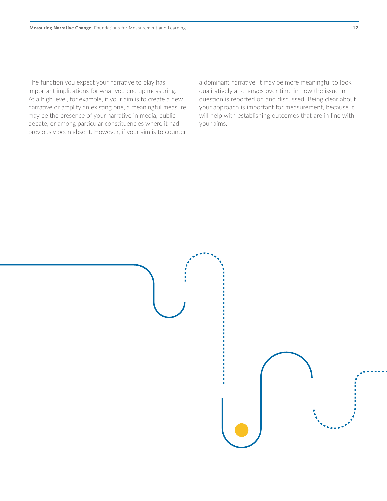The function you expect your narrative to play has important implications for what you end up measuring. At a high level, for example, if your aim is to create a new narrative or amplify an existing one, a meaningful measure may be the presence of your narrative in media, public debate, or among particular constituencies where it had previously been absent. However, if your aim is to counter a dominant narrative, it may be more meaningful to look qualitatively at changes over time in how the issue in question is reported on and discussed. Being clear about your approach is important for measurement, because it will help with establishing outcomes that are in line with your aims.

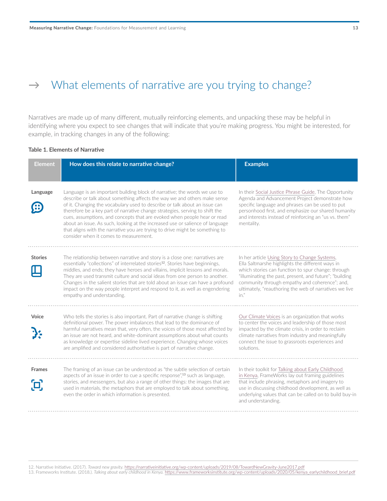## <span id="page-12-0"></span> $\rightarrow$  What elements of narrative are you trying to change?

Narratives are made up of many different, mutually reinforcing elements, and unpacking these may be helpful in identifying where you expect to see changes that will indicate that you're making progress. You might be interested, for example, in tracking changes in any of the following:

#### **Table 1. Elements of Narrative**

| <b>Element</b> | How does this relate to narrative change?                                                                                                                                                                                                                                                                                                                                                                                                                                                                                                                                                                   | <b>Examples</b>                                                                                                                                                                                                                                                                                                                           |
|----------------|-------------------------------------------------------------------------------------------------------------------------------------------------------------------------------------------------------------------------------------------------------------------------------------------------------------------------------------------------------------------------------------------------------------------------------------------------------------------------------------------------------------------------------------------------------------------------------------------------------------|-------------------------------------------------------------------------------------------------------------------------------------------------------------------------------------------------------------------------------------------------------------------------------------------------------------------------------------------|
|                |                                                                                                                                                                                                                                                                                                                                                                                                                                                                                                                                                                                                             |                                                                                                                                                                                                                                                                                                                                           |
| Language       | Language is an important building block of narrative; the words we use to<br>describe or talk about something affects the way we and others make sense<br>of it. Changing the vocabulary used to describe or talk about an issue can<br>therefore be a key part of narrative change strategies, serving to shift the<br>cues, assumptions, and concepts that are evoked when people hear or read<br>about an issue. As such, looking at the increased use or salience of language<br>that aligns with the narrative you are trying to drive might be something to<br>consider when it comes to measurement. | In their Social Justice Phrase Guide, The Opportunity<br>Agenda and Advancement Project demonstrate how<br>specific language and phrases can be used to put<br>personhood first, and emphasize our shared humanity<br>and interests instead of reinforcing an "us vs. them"<br>mentality.                                                 |
| <b>Stories</b> | The relationship between narrative and story is a close one: narratives are<br>essentially "collections" of interrelated stories <sup>12</sup> . Stories have beginnings,<br>middles, and ends; they have heroes and villains, implicit lessons and morals.<br>They are used transmit culture and social ideas from one person to another.<br>Changes in the salient stories that are told about an issue can have a profound<br>impact on the way people interpret and respond to it, as well as engendering<br>empathy and understanding.                                                                 | In her article Using Story to Change Systems,<br>Ella Saltmarshe highlights the different ways in<br>which stories can function to spur change: through<br>"illuminating the past, present, and future"; "building<br>community through empathy and coherence"; and,<br>ultimately, "reauthoring the web of narratives we live<br>$in.$ " |
| Voice          | Who tells the stories is also important. Part of narrative change is shifting<br>definitional power. The power imbalances that lead to the dominance of<br>harmful narratives mean that, very often, the voices of those most affected by<br>an issue are not heard, and white-dominant assumptions about what counts<br>as knowledge or expertise sideline lived experience. Changing whose voices<br>are amplified and considered authoritative is part of narrative change.                                                                                                                              | Our Climate Voices is an organization that works<br>to center the voices and leadership of those most<br>impacted by the climate crisis, in order to reclaim<br>climate narratives from industry and meaningfully<br>connect the issue to grassroots experiences and<br>solutions.                                                        |
| <b>Frames</b>  | The framing of an issue can be understood as "the subtle selection of certain<br>aspects of an issue in order to cue a specific response", <sup>13</sup> such as language,<br>stories, and messengers, but also a range of other things: the images that are<br>used in materials, the metaphors that are employed to talk about something,<br>even the order in which information is presented.                                                                                                                                                                                                            | In their toolkit for Talking about Early Childhood<br>in Kenya, FrameWorks lay out framing guidelines<br>that include phrasing, metaphors and imagery to<br>use in discussing childhood development, as well as<br>underlying values that can be called on to build buy-in<br>and understanding.                                          |

12. Narrative Initiative. (2017). *Toward new gravity.* [https://narrativeinitiative.org/wp-content/uploads/2019/08/TowardNewGravity-June2017.pdf](https://narrativeinitiative.org/resource/toward-new-gravity/)

13. Frameworks Institute. (2018.). *Talking about early childhood in Kenya.* [https://www.frameworksinstitute.org/wp-content/uploads/2020/05/kenya\\_earlychildhood\\_brief.pdf](https://www.frameworksinstitute.org/wp-content/uploads/2020/05/kenya_earlychildhood_brief.pdf)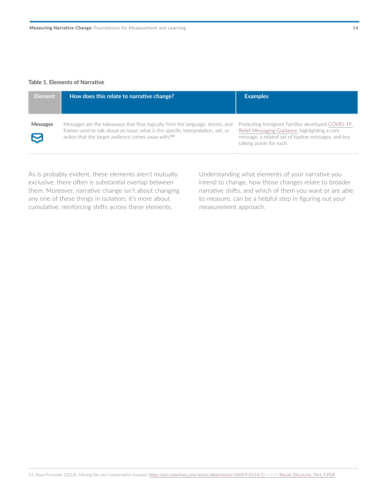#### **Table 1. Elements of Narrative**

| <b>Element</b>  | How does this relate to narrative change?                                                                                                                                                                                            | <b>Examples</b>                                                                                                                                                                       |
|-----------------|--------------------------------------------------------------------------------------------------------------------------------------------------------------------------------------------------------------------------------------|---------------------------------------------------------------------------------------------------------------------------------------------------------------------------------------|
| <b>Messages</b> | Messages are the takeaways that flow logically from the language, stories, and<br>frames used to talk about an issue: what is the specific interpretation, ask, or<br>action that the target audience comes away with? <sup>14</sup> | Protecting Immigrant Families developed COVID-19<br>Relief Messaging Guidance, highlighting a core<br>message, a related set of topline messages, and key<br>talking points for each. |

As is probably evident, these elements aren't mutually exclusive; there often is substantial overlap between them. Moreover, narrative change isn't about changing any one of these things in isolation; it's more about cumulative, reinforcing shifts across these elements.

Understanding what elements of your narrative you intend to change, how those changes relate to broader narrative shifts, and which of them you want or are able to measure, can be a helpful step in figuring out your measurement approach.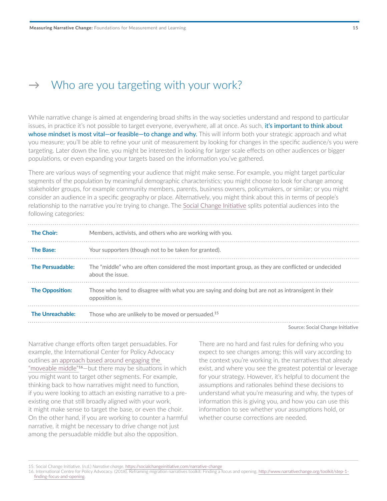### <span id="page-14-0"></span> $\rightarrow$  Who are you targeting with your work?

While narrative change is aimed at engendering broad shifts in the way societies understand and respond to particular issues, in practice it's not possible to target everyone, everywhere, all at once. As such, it's important to think about whose mindset is most vital—or feasible—to change and why. This will inform both your strategic approach and what you measure; you'll be able to refine your unit of measurement by looking for changes in the specific audience/s you were targeting. Later down the line, you might be interested in looking for larger scale effects on other audiences or bigger populations, or even expanding your targets based on the information you've gathered.

There are various ways of segmenting your audience that might make sense. For example, you might target particular segments of the population by meaningful demographic characteristics; you might choose to look for change among stakeholder groups, for example community members, parents, business owners, policymakers, or similar; or you might consider an audience in a specific geography or place. Alternatively, you might think about this in terms of people's relationship to the narrative you're trying to change. The [Social Change Initiative](https://socialchangeinitiative.com/narrative-change) splits potential audiences into the following categories:

| <b>The Choir:</b>      | Members, activists, and others who are working with you.                                                                |
|------------------------|-------------------------------------------------------------------------------------------------------------------------|
| <b>The Base:</b>       | Your supporters (though not to be taken for granted).                                                                   |
| The Persuadable:       | The "middle" who are often considered the most important group, as they are conflicted or undecided<br>about the issue. |
| <b>The Opposition:</b> | Those who tend to disagree with what you are saying and doing but are not as intransigent in their<br>opposition is.    |
| The Unreachable:       | Those who are unlikely to be moved or persuaded. <sup>15</sup>                                                          |

**Source: [Social Change Initiative](https://socialchangeinitiative.com/narrative-change)**

Narrative change efforts often target persuadables. For example, the International Center for Policy Advocacy outlines [an approach based around engaging the](https://www.narrativechange.org/toolkit/step-1-finding-focus-and-opening)  ["moveable middle"](https://www.narrativechange.org/toolkit/step-1-finding-focus-and-opening)<sup>16</sup>—but there may be situations in which you might want to target other segments. For example, thinking back to how narratives might need to function, if you were looking to attach an existing narrative to a preexisting one that still broadly aligned with your work, it might make sense to target the base, or even the choir. On the other hand, if you are working to counter a harmful narrative, it might be necessary to drive change not just among the persuadable middle but also the opposition.

There are no hard and fast rules for defining who you expect to see changes among; this will vary according to the context you're working in, the narratives that already exist, and where you see the greatest potential or leverage for your strategy. However, it's helpful to document the assumptions and rationales behind these decisions to understand what you're measuring and why, the types of information this is giving you, and how you can use this information to see whether your assumptions hold, or whether course corrections are needed.

<sup>15.</sup> Social Change Initiative. (n.d.) *Narrative change.* <https://socialchangeinitiative.com/narrative-change>

<sup>16.</sup> International Centre for Policy Advocacy. (2018). Reframing migration narratives toolkit: Finding a focus and opening. [http://www.narrativechange.org/toolkit/step-1](http://www.narrativechange.org/toolkit/step-1-finding-focus-and-opening) [finding-focus-and-opening.](http://www.narrativechange.org/toolkit/step-1-finding-focus-and-opening)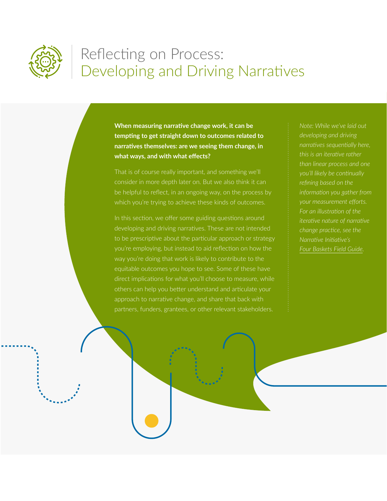<span id="page-15-0"></span>

## Reflecting on Process: Developing and Driving Narratives

**When measuring narrative change work, it can be tempting to get straight down to outcomes related to narratives themselves: are we seeing them change, in what ways, and with what effects?** 

That is of course really important, and something we'll consider in more depth later on. But we also think it can be helpful to reflect, in an ongoing way, on the process by which you're trying to achieve these kinds of outcomes.

In this section, we offer some guiding questions around developing and driving narratives. These are not intended to be prescriptive about the particular approach or strategy you're employing, but instead to aid reflection on how the way you're doing that work is likely to contribute to the equitable outcomes you hope to see. Some of these have direct implications for what you'll choose to measure, while approach to narrative change, and share that back with partners, funders, grantees, or other relevant stakeholders.

*Note: While we've laid out developing and driving narratives sequentially here, this is an iterative rather than linear process and one refining based on the information you gather from your measurement efforts. For an illustration of the change practice, see the Narrative Initiative's*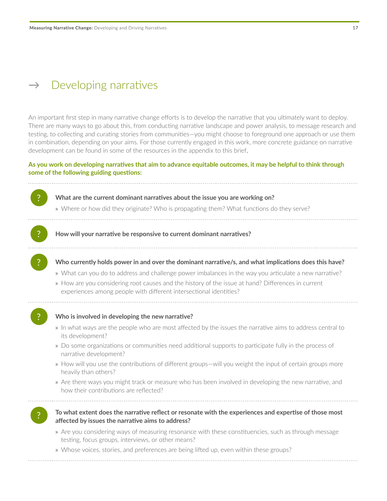### <span id="page-16-0"></span> $\rightarrow$  Developing narratives

An important first step in many narrative change efforts is to develop the narrative that you ultimately want to deploy. There are many ways to go about this, from conducting narrative landscape and power analysis, to message research and testing, to collecting and curating stories from communities—you might choose to foreground one approach or use them in combination, depending on your aims. For those currently engaged in this work, more concrete guidance on narrative development can be found in some of the resources in the appendix to this brief.

#### **As you work on developing narratives that aim to advance equitable outcomes, it may be helpful to think through some of the following guiding questions:**

? **What are the current dominant narratives about the issue you are working on?** 

» Where or how did they originate? Who is propagating them? What functions do they serve?

? **How will your narrative be responsive to current dominant narratives?**

? **Who currently holds power in and over the dominant narrative/s, and what implications does this have?** 

- » What can you do to address and challenge power imbalances in the way you articulate a new narrative?
- » How are you considering root causes and the history of the issue at hand? Differences in current experiences among people with different intersectional identities?
- 

#### ? **Who is involved in developing the new narrative?**

» In what ways are the people who are most affected by the issues the narrative aims to address central to its development?

- » Do some organizations or communities need additional supports to participate fully in the process of narrative development?
- » How will you use the contributions of different groups—will you weight the input of certain groups more heavily than others?
- » Are there ways you might track or measure who has been involved in developing the new narrative, and how their contributions are reflected?

#### ? **To what extent does the narrative reflect or resonate with the experiences and expertise of those most affected by issues the narrative aims to address?**

» Are you considering ways of measuring resonance with these constituencies, such as through message testing, focus groups, interviews, or other means?

» Whose voices, stories, and preferences are being lifted up, even within these groups?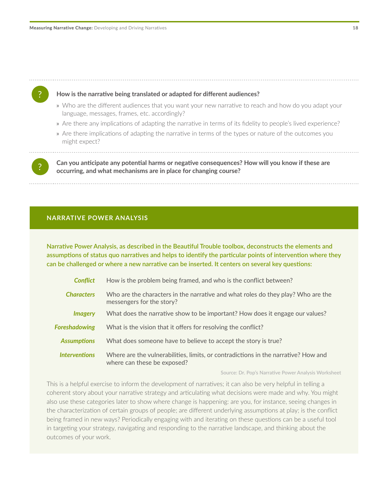

- » Are there any implications of adapting the narrative in terms of its fidelity to people's lived experience?
- » Are there implications of adapting the narrative in terms of the types or nature of the outcomes you might expect?

? **Can you anticipate any potential harms or negative consequences? How will you know if these are occurring, and what mechanisms are in place for changing course?** 

#### **NARRATIVE POWER ANALYSIS**

**Narrative Power Analysis, as [described in the Beautiful Trouble toolbox,](https://beautifultrouble.org/theory/narrative-power-analysis/) deconstructs the elements and assumptions of status quo narratives and helps to identify the particular points of intervention where they can be challenged or where a new narrative can be inserted. It centers on several key questions:** 

| <b>Conflict</b>              | How is the problem being framed, and who is the conflict between?                                                 |
|------------------------------|-------------------------------------------------------------------------------------------------------------------|
| <b>Characters</b>            | Who are the characters in the narrative and what roles do they play? Who are the<br>messengers for the story?     |
| <i><u><b>Imagery</b></u></i> | What does the narrative show to be important? How does it engage our values?                                      |
| <b>Foreshadowing</b>         | What is the vision that it offers for resolving the conflict?                                                     |
| <b>Assumptions</b>           | What does someone have to believe to accept the story is true?                                                    |
| <b>Interventions</b>         | Where are the vulnerabilities, limits, or contradictions in the narrative? How and<br>where can these be exposed? |
|                              |                                                                                                                   |

**Source: Dr. Pop's [Narrative Power Analysis Worksheet](https://drpop.org/wp-content/uploads/2011/07/Narrative-Power-Analysis-Worksheet1.pdf)**

This is a helpful exercise to inform the development of narratives; it can also be very helpful in telling a coherent story about your narrative strategy and articulating what decisions were made and why. You might also use these categories later to show where change is happening: are you, for instance, seeing changes in the characterization of certain groups of people; are different underlying assumptions at play; is the conflict being framed in new ways? Periodically engaging with and iterating on these questions can be a useful tool in targeting your strategy, navigating and responding to the narrative landscape, and thinking about the outcomes of your work.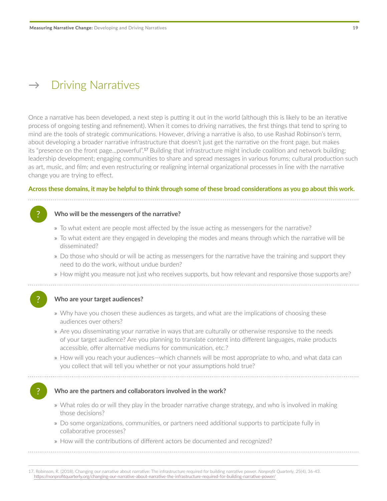### <span id="page-18-0"></span> $\rightarrow$  Driving Narratives

Once a narrative has been developed, a next step is putting it out in the world (although this is likely to be an iterative process of ongoing testing and refinement). When it comes to driving narratives, the first things that tend to spring to mind are the tools of strategic communications. However, driving a narrative is also, to use Rashad Robinson's term, about developing a broader narrative infrastructure that doesn't just get the narrative on the front page, but makes its "presence on the front page...powerful".<sup>17</sup> Building that infrastructure might include coalition and network building; leadership development; engaging communities to share and spread messages in various forums; cultural production such as art, music, and film; and even restructuring or realigning internal organizational processes in line with the narrative change you are trying to effect.

#### **Across these domains, it may be helpful to think through some of these broad considerations as you go about this work.**

#### ? **Who will be the messengers of the narrative?**

- » To what extent are people most affected by the issue acting as messengers for the narrative?
- » To what extent are they engaged in developing the modes and means through which the narrative will be disseminated?
- » Do those who should or will be acting as messengers for the narrative have the training and support they need to do the work, without undue burden?
- » How might you measure not just who receives supports, but how relevant and responsive those supports are?



#### ? **Who are your target audiences?**

- » Why have you chosen these audiences as targets, and what are the implications of choosing these audiences over others?
- » Are you disseminating your narrative in ways that are culturally or otherwise responsive to the needs of your target audience? Are you planning to translate content into different languages, make products accessible, offer alternative mediums for communication, etc.?
- » How will you reach your audiences—which channels will be most appropriate to who, and what data can you collect that will tell you whether or not your assumptions hold true?

#### ? **Who are the partners and collaborators involved in the work?**

- » What roles do or will they play in the broader narrative change strategy, and who is involved in making those decisions?
- » Do some organizations, communities, or partners need additional supports to participate fully in collaborative processes?
- » How will the contributions of different actors be documented and recognized?

17. Robinson, R. (2018). Changing our narrative about narrative: The infrastructure required for building narrative power. *Nonprofit Quarterly,* 25(4), 36-43. [https://nonprofitquarterly.org/changing-our-narrative-about-narrative-the-infrastructure-required-for-building-narrative-power/](http://https://nonprofitquarterly.org/changing-our-narrative-about-narrative-the-infrastructure-required-for-building-narrative-power/)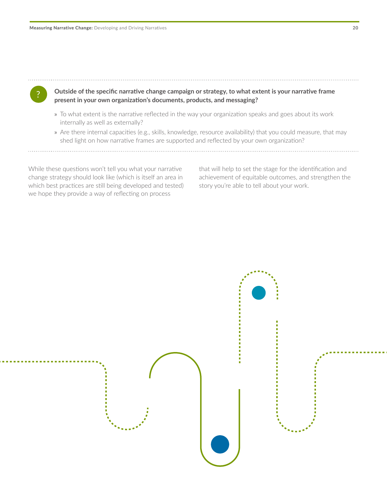? **Outside of the specific narrative change campaign or strategy, to what extent is your narrative frame** 

- **present in your own organization's documents, products, and messaging?**  » To what extent is the narrative reflected in the way your organization speaks and goes about its work
- internally as well as externally?
- » Are there internal capacities (e.g., skills, knowledge, resource availability) that you could measure, that may shed light on how narrative frames are supported and reflected by your own organization?

While these questions won't tell you what your narrative change strategy should look like (which is itself an area in which best practices are still being developed and tested) we hope they provide a way of reflecting on process

that will help to set the stage for the identification and achievement of equitable outcomes, and strengthen the story you're able to tell about your work.

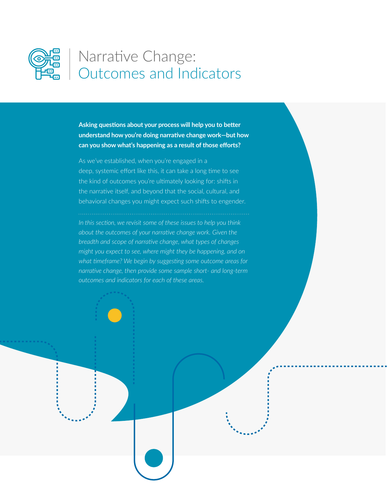<span id="page-20-0"></span>

## Narrative Change: Outcomes and Indicators

**Asking questions about your process will help you to better understand how you're doing narrative change work—but how can you show what's happening as a result of those efforts?** 

As we've established, when you're engaged in a deep, systemic effort like this, it can take a long time to see the kind of outcomes you're ultimately looking for: shifts in the narrative itself, and beyond that the social, cultural, and behavioral changes you might expect such shifts to engender.

*In this section, we revisit some of these issues to help you think about the outcomes of your narrative change work. Given the breadth and scope of narrative change, what types of changes might you expect to see, where might they be happening, and on what timeframe? We begin by suggesting some outcome areas for narrative change, then provide some sample short- and long-term outcomes and indicators for each of these areas.*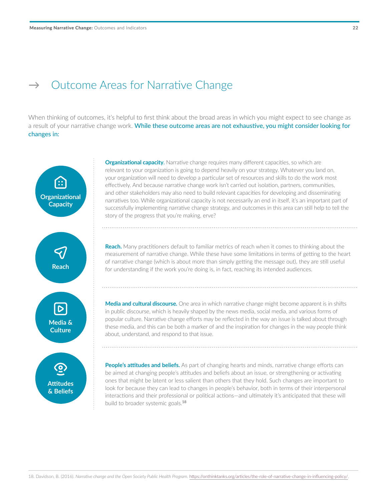### <span id="page-21-0"></span> $\rightarrow$  Outcome Areas for Narrative Change

When thinking of outcomes, it's helpful to first think about the broad areas in which you might expect to see change as a result of your narrative change work. While these outcome areas are not exhaustive, you might consider looking for changes in:



**Organizational capacity**. Narrative change requires many different capacities, so which are relevant to your organization is going to depend heavily on your strategy. Whatever you land on, your organization will need to develop a particular set of resources and skills to do the work most effectively. And because narrative change work isn't carried out isolation, partners, communities, and other stakeholders may also need to build relevant capacities for developing and disseminating narratives too. While organizational capacity is not necessarily an end in itself, it's an important part of successfully implementing narrative change strategy, and outcomes in this area can still help to tell the

**Reach.** Many practitioners default to familiar metrics of reach when it comes to thinking about the measurement of narrative change. While these have some limitations in terms of getting to the heart of narrative change (which is about more than simply getting the message out), they are still useful for understanding if the work you're doing is, in fact, reaching its intended audiences.

**Media and cultural discourse.** One area in which narrative change might become apparent is in shifts in public discourse, which is heavily shaped by the news media, social media, and various forms of popular culture. Narrative change efforts may be reflected in the way an issue is talked about through these media, and this can be both a marker of and the inspiration for changes in the way people think

**People's attitudes and beliefs.** As part of changing hearts and minds, narrative change efforts can be aimed at changing people's attitudes and beliefs about an issue, or strengthening or activating ones that might be latent or less salient than others that they hold. Such changes are important to look for because they can lead to changes in people's behavior, both in terms of their interpersonal interactions and their professional or political actions—and ultimately it's anticipated that these will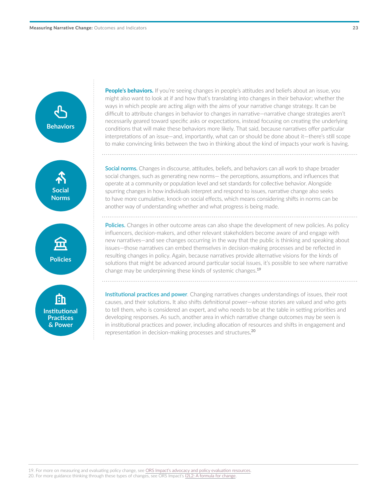

People's behaviors. If you're seeing changes in people's attitudes and beliefs about an issue, you might also want to look at if and how that's translating into changes in their behavior; whether the ways in which people are acting align with the aims of your narrative change strategy. It can be difficult to attribute changes in behavior to changes in narrative—narrative change strategies aren't necessarily geared toward specific asks or expectations, instead focusing on creating the underlying conditions that will make these behaviors more likely. That said, because narratives offer particular interpretations of an issue—and, importantly, what can or should be done about it—there's still scope to make convincing links between the two in thinking about the kind of impacts your work is having.

Social norms. Changes in discourse, attitudes, beliefs, and behaviors can all work to shape broader social changes, such as generating new norms— the perceptions, assumptions, and influences that operate at a community or population level and set standards for collective behavior. Alongside spurring changes in how individuals interpret and respond to issues, narrative change also seeks to have more cumulative, knock-on social effects, which means considering shifts in norms can be another way of understanding whether and what progress is being made.

Policies. Changes in other outcome areas can also shape the development of new policies. As policy influencers, decision-makers, and other relevant stakeholders become aware of and engage with new narratives—and see changes occurring in the way that the public is thinking and speaking about issues—those narratives can embed themselves in decision-making processes and be reflected in resulting changes in policy. Again, because narratives provide alternative visions for the kinds of solutions that might be advanced around particular social issues, it's possible to see where narrative change may be underpinning these kinds of systemic changes.<sup>19</sup>

Institutional practices and power*.* Changing narratives changes understandings of issues, their root causes, and their solutions. It also shifts definitional power—whose stories are valued and who gets to tell them, who is considered an expert, and who needs to be at the table in setting priorities and developing responses. As such, another area in which narrative change outcomes may be seen is in institutional practices and power, including allocation of resources and shifts in engagement and representation in decision-making processes and structures. 20

20. For more guidance thinking through these types of changes, see ORS Impact's [I2L2: A formula for change.](https://www.orsimpact.com/DirectoryAttachments/132018_23544_635_I2L2_LAYOUT_FINAL.pdf)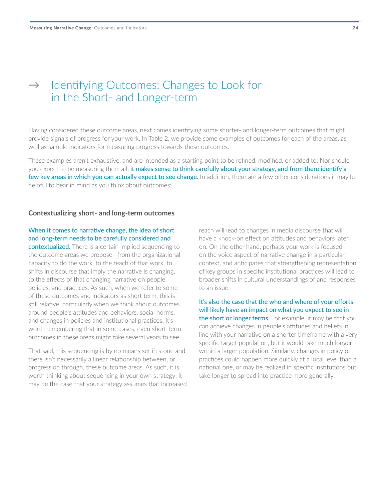## <span id="page-23-0"></span>→ Identifying Outcomes: Changes to Look for in the Short- and Longer-term

Having considered these outcome areas, next comes identifying some shorter- and longer-term outcomes that might provide signals of progress for your work. In Table 2, we provide some examples of outcomes for each of the areas, as well as sample indicators for measuring progress towards these outcomes.

These examples aren't exhaustive, and are intended as a starting point to be refined, modified, or added to. Nor should you expect to be measuring them all; it makes sense to think carefully about your strategy, and from there identify a few key areas in which you can actually expect to see change. In addition, there are a few other considerations it may be helpful to bear in mind as you think about outcomes:

#### **Contextualizing short- and long-term outcomes**

#### When it comes to narrative change, the idea of short and long-term needs to be carefully considered and

contextualized. There is a certain implied sequencing to the outcome areas we propose—from the organizational capacity to do the work, to the reach of that work, to shifts in discourse that imply the narrative is changing, to the effects of that changing narrative on people, policies, and practices. As such, when we refer to some of these outcomes and indicators as short term, this is still relative, particularly when we think about outcomes around people's attitudes and behaviors, social norms, and changes in policies and institutional practices. It's worth remembering that in some cases, even short-term outcomes in these areas might take several years to see.

That said, this sequencing is by no means set in stone and there isn't necessarily a linear relationship between, or progression through, these outcome areas. As such, it is worth thinking about sequencing in your own strategy: it may be the case that your strategy assumes that increased reach will lead to changes in media discourse that will have a knock-on effect on attitudes and behaviors later on. On the other hand, perhaps your work is focused on the voice aspect of narrative change in a particular context, and anticipates that strengthening representation of key groups in specific institutional practices will lead to broader shifts in cultural understandings of and responses to an issue.

It's also the case that the who and where of your efforts will likely have an impact on what you expect to see in the short or longer terms. For example, it may be that you can achieve changes in people's attitudes and beliefs in line with your narrative on a shorter timeframe with a very specific target population, but it would take much longer within a larger population. Similarly, changes in policy or practices could happen more quickly at a local level than a national one, or may be realized in specific institutions but take longer to spread into practice more generally.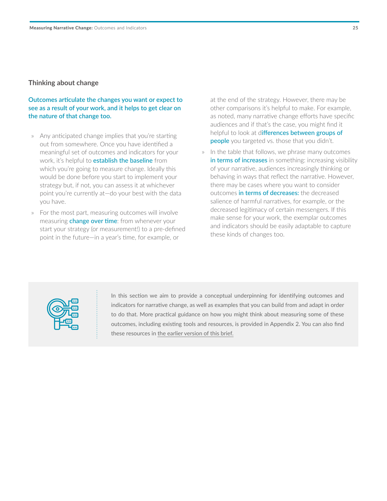#### **Thinking about change**

#### **Outcomes articulate the changes you want or expect to see as a result of your work, and it helps to get clear on the nature of that change too.**

- » Any anticipated change implies that you're starting out from somewhere. Once you have identified a meaningful set of outcomes and indicators for your work, it's helpful to **establish the baseline** from which you're going to measure change. Ideally this would be done before you start to implement your strategy but, if not, you can assess it at whichever point you're currently at—do your best with the data you have.
- » For the most part, measuring outcomes will involve measuring **change over time**: from whenever your start your strategy (or measurement!) to a pre-defined point in the future—in a year's time, for example, or

at the end of the strategy. However, there may be other comparisons it's helpful to make. For example, as noted, many narrative change efforts have specific audiences and if that's the case, you might find it helpful to look at differences between groups of people you targeted vs. those that you didn't.

» In the table that follows, we phrase many outcomes in terms of increases in something: increasing visibility of your narrative, audiences increasingly thinking or behaving in ways that reflect the narrative. However, there may be cases where you want to consider outcomes in terms of decreases: the decreased salience of harmful narratives, for example, or the decreased legitimacy of certain messengers. If this make sense for your work, the exemplar outcomes and indicators should be easily adaptable to capture these kinds of changes too.



In this section we aim to provide a conceptual underpinning for identifying outcomes and indicators for narrative change, as well as examples that you can build from and adapt in order to do that. More practical guidance on how you might think about measuring some of these outcomes, including existing tools and resources, is provided in Appendix 2. You can also find these resources [in the earlier version of this brief](https://www.orsimpact.com/DirectoryAttachments/7182019_123705_659_Measuring_narrative_Change_FINAL_rev_17July2019.pdf).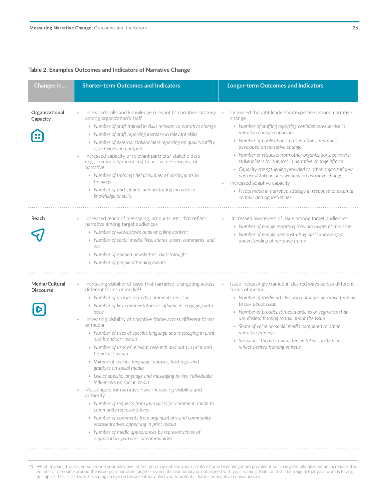#### **Table 2. Examples Outcomes and Indicators of Narrative Change**

| Changes in                         | <b>Shorter-term Outcomes and Indicators</b>                                                                                                                                                                                                                                                                                                                                                                                                                                                                                                                                                                                                                                                                                                                                                                                                                                                                                                                                                                                                                                   | <b>Longer-term Outcomes and Indicators</b>                                                                                                                                                                                                                                                                                                                                                                                                                                                                                                                                                                                            |
|------------------------------------|-------------------------------------------------------------------------------------------------------------------------------------------------------------------------------------------------------------------------------------------------------------------------------------------------------------------------------------------------------------------------------------------------------------------------------------------------------------------------------------------------------------------------------------------------------------------------------------------------------------------------------------------------------------------------------------------------------------------------------------------------------------------------------------------------------------------------------------------------------------------------------------------------------------------------------------------------------------------------------------------------------------------------------------------------------------------------------|---------------------------------------------------------------------------------------------------------------------------------------------------------------------------------------------------------------------------------------------------------------------------------------------------------------------------------------------------------------------------------------------------------------------------------------------------------------------------------------------------------------------------------------------------------------------------------------------------------------------------------------|
| Organizational<br>Capacity         | Increased skills and knowledge relevant to narrative strategy<br>among organization's staff<br>• Number of staff trained in skills relevant to narrative change<br>• Number of staff reporting increase in relevant skills<br>• Number of external stakeholders reporting on quality/utility<br>of activities and outputs<br>Increased capacity of relevant partners/ stakeholders<br>(e.g., community members) to act as messengers for<br>narrative<br>• Number of trainings held/Number of participants in<br>trainings<br>• Number of participants demonstrating increase in<br>knowledge or skills                                                                                                                                                                                                                                                                                                                                                                                                                                                                       | Increased thought leadership/expertise around narrative<br>change<br>• Number of staffing reporting confidence/expertise in<br>narrative change capacities<br>• Number of publications, presentations, materials<br>developed on narrative change<br>• Number of requests from other organizations/partners/<br>stakeholders for support in narrative change efforts<br>• Capacity strengthening provided to other organizations/<br>partners/stakeholders working on narrative change<br>Increased adaptive capacity<br>$\rangle\rangle$<br>• Pivots made in narrative strategy in response to external<br>context and opportunities |
| Reach                              | Increased reach of messaging, products, etc. that reflect<br>narrative among target audiences<br>• Number of views/downloads of online content<br>• Number of social media likes, shares, posts, comments, and<br>etc.<br>• Number of opened newsletters, click-throughs<br>• Number of people attending events                                                                                                                                                                                                                                                                                                                                                                                                                                                                                                                                                                                                                                                                                                                                                               | Increased awareness of issue among target audiences<br>$\rangle\rangle$<br>• Number of people reporting they are aware of the issue<br>• Number of people demonstrating basic knowledge/<br>understanding of narrative frame                                                                                                                                                                                                                                                                                                                                                                                                          |
| Media/Cultural<br><b>Discourse</b> | Increasing visibility of issue that narrative is targeting across<br>$\rangle\rangle$<br>different forms of media <sup>21</sup><br>• Number of articles, op-eds, comments on issue<br>• Number of key commentators or influencers engaging with<br>issue<br>Increasing visibility of narrative frame across different forms<br>of media<br>• Number of uses of specific language and messaging in print<br>and broadcast media<br>• Number of uses of relevant research and data in print and<br>broadcast media<br>• Volume of specific language, phrases, hashtags, and<br>graphics on social media<br>• Use of specific language and messaging by key individuals/<br>influencers on social media<br>Messengers for narrative have increasing visibility and<br>authority<br>• Number of requests from journalists for comment, made to<br>community representatives<br>• Number of comments from organizations and community<br>representatives appearing in print media<br>• Number of media appearances by representatives of<br>organization, partners, or communities | Issue increasingly framed in desired ways across different<br>$\rangle\!\rangle$<br>forms of media<br>• Number of media articles using broader narrative framing<br>to talk about issue<br>• Number of broadcast media articles or segments that<br>use desired framing to talk about the issue<br>• Share of voice on social media compared to other<br>narrative framings<br>• Storylines, themes, characters in television/film etc.<br>reflect desired framing of issue                                                                                                                                                           |

21. When tracking the discourse around your narrative, at first you may not see your narrative frame becoming more prominent but may generally observe an increase in the volume of discourse around the issue your narrative targets—even if it's reactionary or not aligned with your framing, that could still be a signal that your work is having an impact. This is also worth keeping an eye on because it may alert you to potential harms or negative consequences.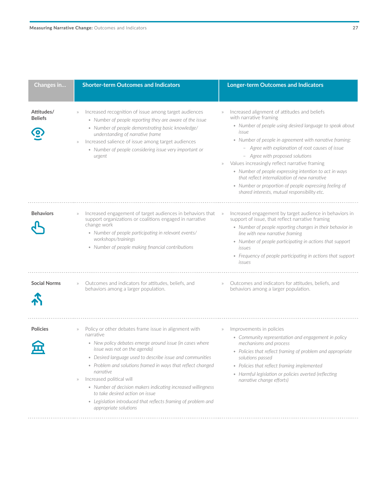| ۰. |  |
|----|--|

| Changes in                   | <b>Shorter-term Outcomes and Indicators</b>                                                                                                                                                                                                                                                                                                                                                                                                                                                                                                           | <b>Longer-term Outcomes and Indicators</b>                                                                                                                                                                                                                                                                                                                                                                                                                                                                                                                                                           |
|------------------------------|-------------------------------------------------------------------------------------------------------------------------------------------------------------------------------------------------------------------------------------------------------------------------------------------------------------------------------------------------------------------------------------------------------------------------------------------------------------------------------------------------------------------------------------------------------|------------------------------------------------------------------------------------------------------------------------------------------------------------------------------------------------------------------------------------------------------------------------------------------------------------------------------------------------------------------------------------------------------------------------------------------------------------------------------------------------------------------------------------------------------------------------------------------------------|
| Attitudes/<br><b>Beliefs</b> | Increased recognition of issue among target audiences<br>• Number of people reporting they are aware of the issue<br>• Number of people demonstrating basic knowledge/<br>understanding of narrative frame<br>Increased salience of issue among target audiences<br>$\rangle \rangle$<br>• Number of people considering issue very important or<br>urgent                                                                                                                                                                                             | Increased alignment of attitudes and beliefs<br>$\rangle$<br>with narrative framing<br>• Number of people using desired language to speak about<br>issue<br>• Number of people in agreement with narrative framing:<br>- Agree with explanation of root causes of issue<br>- Agree with proposed solutions<br>Values increasingly reflect narrative framing<br>$\rangle\rangle$<br>• Number of people expressing intention to act in ways<br>that reflect internalization of new narrative<br>• Number or proportion of people expressing feeling of<br>shared interests, mutual responsibility etc. |
| <b>Behaviors</b>             | Increased engagement of target audiences in behaviors that<br>$\rangle\rangle$<br>support organizations or coalitions engaged in narrative<br>change work<br>• Number of people participating in relevant events/<br>workshops/trainings<br>• Number of people making financial contributions                                                                                                                                                                                                                                                         | Increased engagement by target audience in behaviors in<br>$\rangle\!\rangle$<br>support of issue, that reflect narrative framing<br>• Number of people reporting changes in their behavior in<br>line with new narrative framing<br>• Number of people participating in actions that support<br><i>issues</i><br>• Frequency of people participating in actions that support<br>issues                                                                                                                                                                                                              |
| <b>Social Norms</b>          | Outcomes and indicators for attitudes, beliefs, and<br>behaviors among a larger population.                                                                                                                                                                                                                                                                                                                                                                                                                                                           | Outcomes and indicators for attitudes, beliefs, and<br>$\rangle\rangle$<br>behaviors among a larger population.                                                                                                                                                                                                                                                                                                                                                                                                                                                                                      |
| <b>Policies</b>              | Policy or other debates frame issue in alignment with<br>narrative<br>• New policy debates emerge around issue (in cases where<br>issue was not on the agenda)<br>• Desired language used to describe issue and communities<br>• Problem and solutions framed in ways that reflect changed<br>narrative<br>Increased political will<br>$\rangle \rangle$<br>• Number of decision makers indicating increased willingness<br>to take desired action on issue<br>• Legislation introduced that reflects framing of problem and<br>appropriate solutions | Improvements in policies<br>$\rangle$<br>• Community representation and engagement in policy<br>mechanisms and process<br>• Policies that reflect framing of problem and appropriate<br>solutions passed<br>• Policies that reflect framing implemented<br>• Harmful legislation or policies averted (reflecting<br>narrative change efforts)                                                                                                                                                                                                                                                        |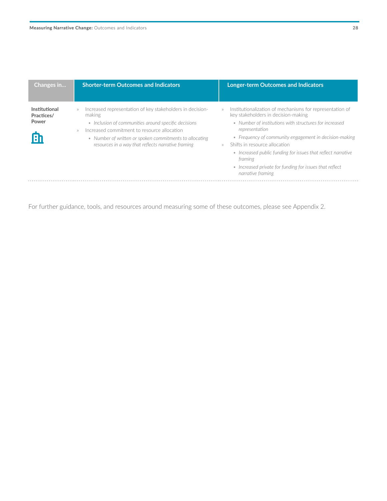| Changes in                                 | <b>Shorter-term Outcomes and Indicators</b>                                                                                                                                                                                                                                                                       | <b>Longer-term Outcomes and Indicators</b>                                                                                                                                                                                                                                                                                                                                                                                                 |
|--------------------------------------------|-------------------------------------------------------------------------------------------------------------------------------------------------------------------------------------------------------------------------------------------------------------------------------------------------------------------|--------------------------------------------------------------------------------------------------------------------------------------------------------------------------------------------------------------------------------------------------------------------------------------------------------------------------------------------------------------------------------------------------------------------------------------------|
| Institutional<br>Practices/<br>Power<br>Eh | Increased representation of key stakeholders in decision-<br>$\rangle$<br>making<br>• Inclusion of communities around specific decisions<br>Increased commitment to resource allocation<br>$\gg$<br>• Number of written or spoken commitments to allocating<br>resources in a way that reflects narrative framing | Institutionalization of mechanisms for representation of<br>key stakeholders in decision-making<br>• Number of institutions with structures for increased<br>representation<br>• Frequency of community engagement in decision-making<br>Shifts in resource allocation<br>$\gg$<br>• Increased public funding for issues that reflect narrative<br>framing<br>• Increased private for funding for issues that reflect<br>narrative framing |
|                                            |                                                                                                                                                                                                                                                                                                                   |                                                                                                                                                                                                                                                                                                                                                                                                                                            |

For further guidance, tools, and resources around measuring some of these outcomes, please see Appendix 2.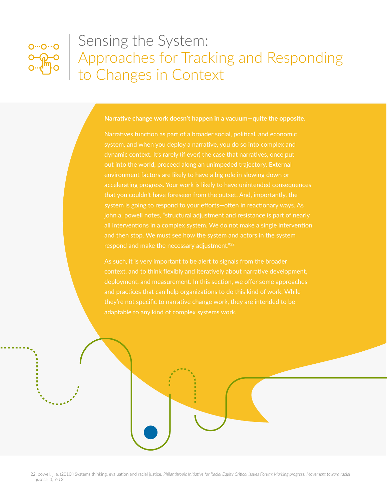<span id="page-28-0"></span>

## Sensing the System: Approaches for Tracking and Responding to Changes in Context

#### **Narrative change work doesn't happen in a vacuum—quite the opposite.**

dynamic context. It's rarely (if ever) the case that narratives, once put out into the world, proceed along an unimpeded trajectory. External environment factors are likely to have a big role in slowing down or accelerating progress. Your work is likely to have unintended consequences john a. powell notes, "structural adjustment and resistance is part of nearly and then stop. We must see how the system and actors in the system respond and make the necessary adjustment."22

As such, it is very important to be alert to signals from the broader deployment, and measurement. In this section, we offer some approaches and practices that can help organizations to do this kind of work. While they're not specific to narrative change work, they are intended to be adaptable to any kind of complex systems work.

22. powell, j. a. (2010.) Systems thinking, evaluation and racial justice. *Philanthropic Initiative for Racial Equity Critical Issues Forum: Marking progress: Movement toward racial justice, 3, 9-12.*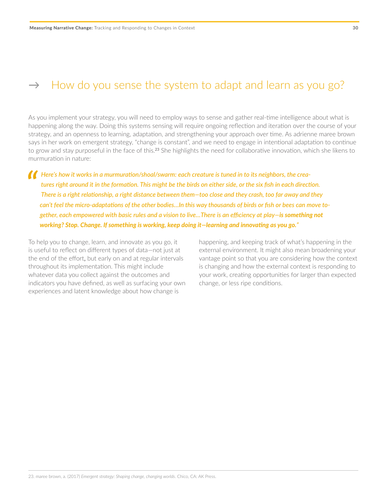<span id="page-29-0"></span>As you implement your strategy, you will need to employ ways to sense and gather real-time intelligence about what is happening along the way. Doing this systems sensing will require ongoing reflection and iteration over the course of your strategy, and an openness to learning, adaptation, and strengthening your approach over time. As adrienne maree brown says in her work on emergent strategy, "change is constant", and we need to engage in intentional adaptation to continue to grow and stay purposeful in the face of this.<sup>23</sup> She highlights the need for collaborative innovation, which she likens to murmuration in nature:

*P* Here's how it works in a murmuration/shoal/swarm: each creature is tuned in to its neighbors, the creatures right around it in the formation. This might be the birds on either side, or the six fish in each direct There *tures right around it in the formation. This might be the birds on either side, or the six fish in each direction. There is a right relationship, a right distance between them—too close and they crash, too far away and they can't feel the micro-adaptations of the other bodies…In this way thousands of birds or fish or bees can move together, each empowered with basic rules and a vision to live…There is an efficiency at play—is something not working? Stop. Change. If something is working, keep doing it—learning and innovating as you go."*

To help you to change, learn, and innovate as you go, it is useful to reflect on different types of data—not just at the end of the effort, but early on and at regular intervals throughout its implementation. This might include whatever data you collect against the outcomes and indicators you have defined, as well as surfacing your own experiences and latent knowledge about how change is

happening, and keeping track of what's happening in the external environment. It might also mean broadening your vantage point so that you are considering how the context is changing and how the external context is responding to your work, creating opportunities for larger than expected change, or less ripe conditions.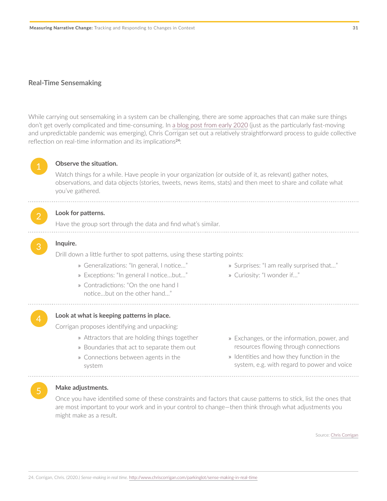#### **Real-Time Sensemaking**

While carrying out sensemaking in a system can be challenging, there are some approaches that can make sure things don't get overly complicated and time-consuming. In [a blog post from early 2020](http://www.chriscorrigan.com/parkinglot/sense-making-in-real-time/) (just as the particularly fast-moving and unpredictable pandemic was emerging), Chris Corrigan set out a relatively straightforward process to guide collective reflection on real-time information and its implications<sup>24</sup>:



#### **Observe the situation.**

Watch things for a while. Have people in your organization (or outside of it, as relevant) gather notes, observations, and data objects (stories, tweets, news items, stats) and then meet to share and collate what you've gathered.

#### Look for patterns.

Have the group sort through the data and find what's similar.

#### 3 **Inquire.**

Drill down a little further to spot patterns, using these starting points:

- » Generalizations: "In general, I notice…"
- » Exceptions: "In general I notice…but…"
- » Contradictions: "On the one hand I notice…but on the other hand…"
- » Surprises: "I am really surprised that…"
- » Curiosity: "I wonder if…"

#### Look at what is keeping patterns in place.

Corrigan proposes identifying and unpacking:

- » Attractors that are holding things together
- » Boundaries that act to separate them out
- » Connections between agents in the system
- » Exchanges, or the information, power, and resources flowing through connections
- » Identities and how they function in the system, e.g. with regard to power and voice

#### 5 **Make adjustments.**

Once you have identified some of these constraints and factors that cause patterns to stick, list the ones that are most important to your work and in your control to change—then think through what adjustments you might make as a result.

Source: Chris Corrigan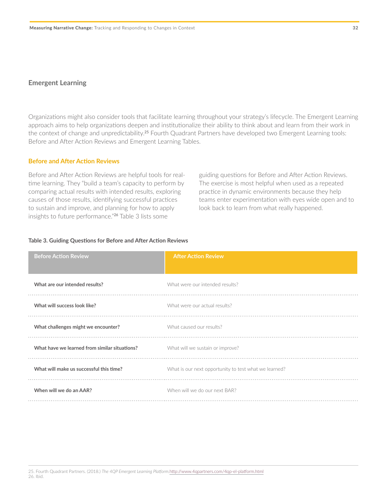#### **Emergent Learning**

Organizations might also consider tools that facilitate learning throughout your strategy's lifecycle. The Emergent Learning approach aims to help organizations deepen and institutionalize their ability to think about and learn from their work in the context of change and unpredictability.<sup>25</sup> Fourth Quadrant Partners have developed two Emergent Learning tools: Before and After Action Reviews and Emergent Learning Tables.

#### **Before and After Action Reviews**

Before and After Action Reviews are helpful tools for realtime learning. They "build a team's capacity to perform by comparing actual results with intended results, exploring causes of those results, identifying successful practices to sustain and improve, and planning for how to apply insights to future performance."<sup>26</sup> Table 3 lists some

guiding questions for Before and After Action Reviews. The exercise is most helpful when used as a repeated practice in dynamic environments because they help teams enter experimentation with eyes wide open and to look back to learn from what really happened.

#### **Table 3. Guiding Questions for Before and After Action Reviews**

| <b>Before Action Review</b>                   | <b>After Action Review</b>                            |
|-----------------------------------------------|-------------------------------------------------------|
| What are our intended results?                | What were our intended results?                       |
| What will success look like?                  | What were our actual results?                         |
| What challenges might we encounter?           | What caused our results?                              |
| What have we learned from similar situations? | What will we sustain or improve?                      |
| What will make us successful this time?       | What is our next opportunity to test what we learned? |
| When will we do an AAR?                       | When will we do our next BAR?                         |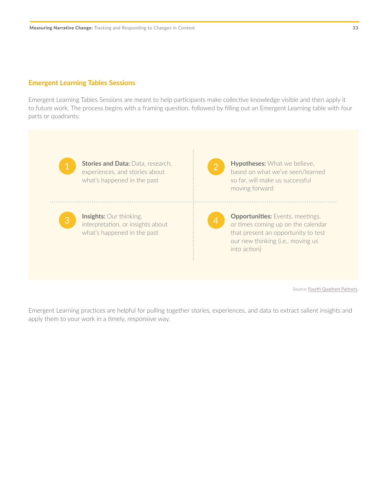#### **Emergent Learning Tables Sessions**

Emergent Learning Tables Sessions are meant to help participants make collective knowledge visible and then apply it to future work. The process begins with a framing question, followed by filling out an Emergent Learning table with four parts or quadrants:



**Stories and Data: Data, research,** experiences, and stories about what's happened in the past

**Insights:** Our thinking, interpretation, or insights about what's happened in the past



**Hypotheses:** What we believe, based on what we've seen/learned so far, will make us successful moving forward

**Opportunities:** Events, meetings, or times coming up on the calendar that present an opportunity to test our new thinking (i.e., moving us into action)

Source: **[Fourth Quadrant Partners](http://www.4qpartners.com/index.html).** 

Emergent Learning practices are helpful for pulling together stories, experiences, and data to extract salient insights and apply them to your work in a timely, responsive way.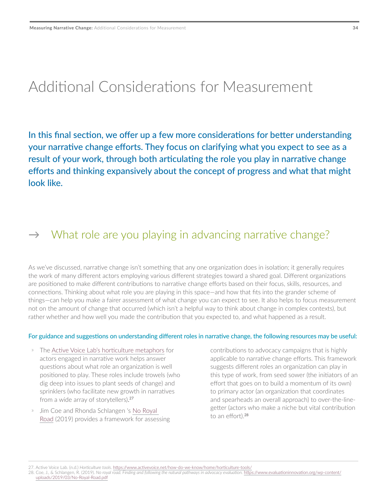## <span id="page-33-0"></span>Additional Considerations for Measurement

In this final section, we offer up a few more considerations for better understanding your narrative change efforts. They focus on clarifying what you expect to see as a result of your work, through both articulating the role you play in narrative change efforts and thinking expansively about the concept of progress and what that might look like.

## $\rightarrow$  What role are you playing in advancing narrative change?

As we've discussed, narrative change isn't something that any one organization does in isolation; it generally requires the work of many different actors employing various different strategies toward a shared goal. Different organizations are positioned to make different contributions to narrative change efforts based on their focus, skills, resources, and connections. Thinking about what role you are playing in this space—and how that fits into the grander scheme of things—can help you make a fairer assessment of what change you can expect to see. It also helps to focus measurement not on the amount of change that occurred (which isn't a helpful way to think about change in complex contexts), but rather whether and how well you made the contribution that you expected to, and what happened as a result.

#### For guidance and suggestions on understanding different roles in narrative change, the following resources may be useful:

- » The [Active Voice Lab's horticulture metaphors](https://www.activevoice.net/how-do-we-know/home/horticulture-tools/) for actors engaged in narrative work helps answer questions about what role an organization is well positioned to play. These roles include trowels (who dig deep into issues to plant seeds of change) and sprinklers (who facilitate new growth in narratives from a wide array of storytellers). 27
- Jim Coe and Rhonda Schlangen 's No Royal [Road](https://www.evaluationinnovation.org/wp-content/uploads/2019/03/No-Royal-Road.pdf) (2019) provides a framework for assessing

contributions to advocacy campaigns that is highly applicable to narrative change efforts. This framework suggests different roles an organization can play in this type of work, from seed sower (the initiators of an effort that goes on to build a momentum of its own) to primary actor (an organization that coordinates and spearheads an overall approach) to over-the-linegetter (actors who make a niche but vital contribution to an effort).28

27. Active Voice Lab. (n.d.) *Horticulture tools.* <https://www.activevoice.net/how-do-we-know/home/horticulture-tools/>

<sup>28.</sup> Coe, J., & Schlangen, R. (2019). *No royal road. Finding and following the natural pathways in advocacy evaluation.* [https://www.evaluationinnovation.org/wp-content/](https://www.evaluationinnovation.org/wp-content/uploads/2019/03/No-Royal-Road.pdf) [uploads/2019/03/No-Royal-Road.pdf](https://www.evaluationinnovation.org/wp-content/uploads/2019/03/No-Royal-Road.pdf)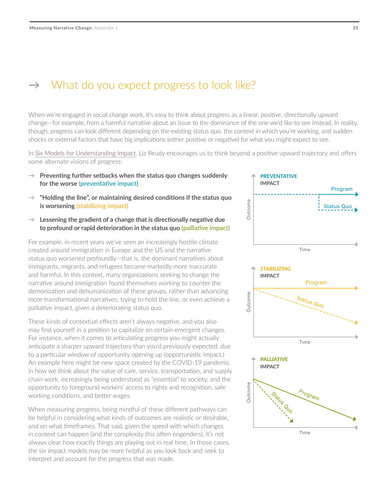### <span id="page-34-0"></span> $\rightarrow$  What do you expect progress to look like?

When we're engaged in social change work, it's easy to think about progress as a linear, positive, directionally upward change—for example, from a harmful narrative about an issue to the dominance of the one we'd like to see instead. In reality, though, progress can look different depending on the existing status quo, the context in which you're working, and sudden shocks or external factors that have big implications (either positive or negative) for what you might expect to see.

In [Six Models for Understanding Impact,](https://democracyfund.org/idea/six-models-for-understanding-impact/) Liz Reudy encourages us to think beyond a positive upward trajectory and offers some alternate visions of progress:

- $\rightarrow$  **Preventing further setbacks when the status quo changes suddenly for the worse (preventative impact)**
- → **"Holding the line", or maintaining desired conditions if the status quo is worsening (stabilizing impact)**
- $\rightarrow$  Lessening the gradient of a change that is directionally negative due **to profound or rapid deterioration in the status quo (palliative impact)**

For example, in recent years we've seen an increasingly hostile climate created around immigration in Europe and the US and the narrative status quo worsened profoundly—that is, the dominant narratives about immigrants, migrants, and refugees became markedly more inaccurate and harmful. In this context, many organizations seeking to change the narrative around immigration found themselves working to counter the demonization and dehumanization of these groups, rather than advancing more transformational narratives; trying to hold the line, or even achieve a palliative impact, given a deteriorating status quo.

These kinds of contextual effects aren't always negative, and you also may find yourself in a position to capitalize on certain emergent changes. For instance, when it comes to articulating progress you might actually anticipate a sharper upward trajectory than you'd previously expected, due to a particular window of opportunity opening up (opportunistic impact.) An example here might be new space created by the COVID-19 pandemic in how we think about the value of care, service, transportation, and supply chain work, increasingly being understood as "essential" to society, and the opportunity to foreground workers' access to rights and recognition, safe working conditions, and better wages.

When measuring progress, being mindful of these different pathways can be helpful in considering what kinds of outcomes are realistic or desirable, and on what timeframes. That said, given the speed with which changes in context can happen (and the complexity this often engenders), it's not always clear how exactly things are playing out in real time. In those cases, the six impact models may be more helpful as you look back and seek to interpret and account for the progress that was made.

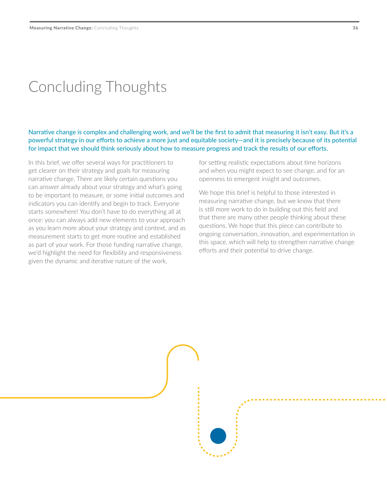## <span id="page-35-0"></span>Concluding Thoughts

Narrative change is complex and challenging work, and we'll be the first to admit that measuring it isn't easy. But it's a powerful strategy in our efforts to achieve a more just and equitable society—and it is precisely because of its potential for impact that we should think seriously about how to measure progress and track the results of our efforts.

In this brief, we offer several ways for practitioners to get clearer on their strategy and goals for measuring narrative change. There are likely certain questions you can answer already about your strategy and what's going to be important to measure, or some initial outcomes and indicators you can identify and begin to track. Everyone starts somewhere! You don't have to do everything all at once: you can always add new elements to your approach as you learn more about your strategy and context, and as measurement starts to get more routine and established as part of your work. For those funding narrative change, we'd highlight the need for flexibility and responsiveness given the dynamic and iterative nature of the work,

for setting realistic expectations about time horizons and when you might expect to see change, and for an openness to emergent insight and outcomes.

We hope this brief is helpful to those interested in measuring narrative change, but we know that there is still more work to do in building out this field and that there are many other people thinking about these questions. We hope that this piece can contribute to ongoing conversation, innovation, and experimentation in this space, which will help to strengthen narrative change efforts and their potential to drive change.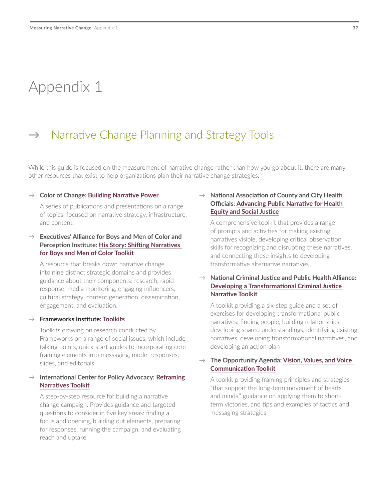## <span id="page-36-0"></span>Appendix 1

### $\rightarrow$  Narrative Change Planning and Strategy Tools

While this guide is focused on the measurement of narrative change rather than how you go about it, there are many other resources that exist to help organizations plan their narrative change strategies:

#### → **Color of Change: [Building Narrative Power](https://narrative.colorofchange.org/)**

A series of publications and presentations on a range of topics, focused on narrative strategy, infrastructure, and content.

#### → **Executives' Alliance for Boys and Men of Color and Perception Institute: [His Story: Shifting Narratives](https://perception.org/wp-content/uploads/2018/12/HisStory-Narrative-Toolkit.pdf)  [for Boys and Men of Color Toolkit](https://perception.org/wp-content/uploads/2018/12/HisStory-Narrative-Toolkit.pdf)**

A resource that breaks down narrative change into nine distinct strategic domains and provides guidance about their components: research, rapid response, media monitoring, engaging influencers, cultural strategy, content generation, dissemination, engagement, and evaluation.

#### → **Frameworks Institute: [Toolkits](https://www.frameworksinstitute.org/tools-and-resources/toolkits/)**

Toolkits drawing on research conducted by Frameworks on a range of social issues, which include talking points, quick-start guides to incorporating core framing elements into messaging, model responses, slides, and editorials.

#### → **International Center for Policy Advocacy: [Reframing](https://www.narrativechange.org/toolkit/reframing-guidelines)  [Narratives Toolkit](https://www.narrativechange.org/toolkit/reframing-guidelines)**

A step-by-step resource for building a narrative change campaign. Provides guidance and targeted questions to consider in five key areas: finding a focus and opening, building out elements, preparing for responses, running the campaign, and evaluating reach and uptake

#### → **National Association of County and City Health Officials: [Advancing Public Narrative for Health](http://eweb.naccho.org/eweb/DynamicPage.aspx?WebCode=ProdDetailAdd&ivd_prc_prd_key=68df828b-ce9e-4834-8e3f-a60d478cb559&ivd_qty=1&Action=Add&site=naccho&ObjectKeyFrom=1A83491A-9853-4C87-86A4-F7D95601C2E2&DoNotSave=yes&ParentObject=CentralizedOrderEntry&ParentDataObject=Invoice%2520Detail)  [Equity and Social Justice](http://eweb.naccho.org/eweb/DynamicPage.aspx?WebCode=ProdDetailAdd&ivd_prc_prd_key=68df828b-ce9e-4834-8e3f-a60d478cb559&ivd_qty=1&Action=Add&site=naccho&ObjectKeyFrom=1A83491A-9853-4C87-86A4-F7D95601C2E2&DoNotSave=yes&ParentObject=CentralizedOrderEntry&ParentDataObject=Invoice%2520Detail)**

A comprehensive toolkit that provides a range of prompts and activities for making existing narratives visible, developing critical observation skills for recognizing and disrupting these narratives, and connecting these insights to developing transformative alternative narratives

#### → **National Criminal Justice and Public Health Alliance: [Developing a Transformational Criminal Justice](https://humanimpact.org/wp-content/uploads/2018/03/CJPH-Narrative-Development_Toolkit.pdf)  [Narrative Toolkit](https://humanimpact.org/wp-content/uploads/2018/03/CJPH-Narrative-Development_Toolkit.pdf)**

A toolkit providing a six-step guide and a set of exercises for developing transformational public narratives: finding people, building relationships, developing shared understandings, identifying existing narratives, developing transformational narratives, and developing an action plan

#### → **The Opportunity Agenda: [Vision, Values, and Voice](https://www.opportunityagenda.org/sites/default/files/2019-05/2019.05.06%20Toolkit%20Without%20Comic%20Book.pdf)  [Communication Toolkit](https://www.opportunityagenda.org/sites/default/files/2019-05/2019.05.06%20Toolkit%20Without%20Comic%20Book.pdf)**

A toolkit providing framing principles and strategies "that support the long-term movement of hearts and minds," guidance on applying them to shortterm victories, and tips and examples of tactics and messaging strategies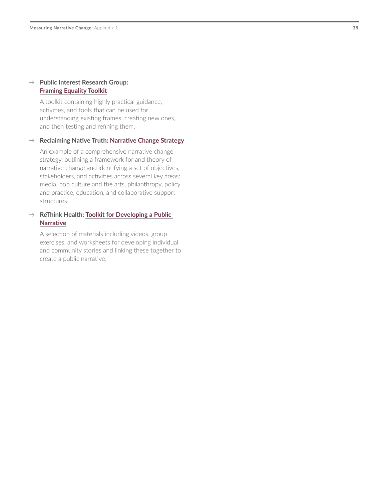#### → **Public Interest Research Group: Framing Equality Toolkit**

A toolkit containing highly practical guidance, activities, and tools that can be used for understanding existing frames, creating new ones, and then testing and refining them.

#### → **Reclaiming Native Truth: [Narrative Change Strategy](https://www.firstnations.org/publications/narrative-change-strategy-from-the-reclaiming-native-truth-project/)**

An example of a comprehensive narrative change strategy, outlining a framework for and theory of narrative change and identifying a set of objectives, stakeholders, and activities across several key areas: media, pop culture and the arts, philanthropy, policy and practice, education, and collaborative support structures

#### → **ReThink Health: [Toolkit for Developing a Public](https://www.rethinkhealth.org/wp-content/uploads/2017/10/RTH-DevelopingAPublicNarrative_10302017.pdf)  [Narrative](https://www.rethinkhealth.org/wp-content/uploads/2017/10/RTH-DevelopingAPublicNarrative_10302017.pdf)**

A selection of materials including videos, group exercises, and worksheets for developing individual and community stories and linking these together to create a public narrative.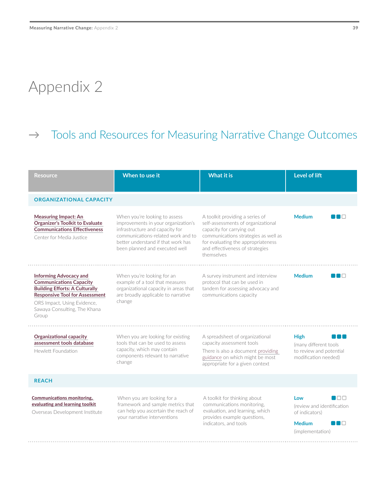## <span id="page-38-0"></span>Appendix 2

## → Tools and Resources for Measuring Narrative Change Outcomes

| Resource                                                                                                                                                                                                                  | When to use it                                                                                                                                                                                                        | <b>What it is</b>                                                                                                                                                                                                                 | Level of lift                                                                                            |
|---------------------------------------------------------------------------------------------------------------------------------------------------------------------------------------------------------------------------|-----------------------------------------------------------------------------------------------------------------------------------------------------------------------------------------------------------------------|-----------------------------------------------------------------------------------------------------------------------------------------------------------------------------------------------------------------------------------|----------------------------------------------------------------------------------------------------------|
| <b>ORGANIZATIONAL CAPACITY</b>                                                                                                                                                                                            |                                                                                                                                                                                                                       |                                                                                                                                                                                                                                   |                                                                                                          |
| <b>Measuring Impact: An</b><br><b>Organizer's Toolkit to Evaluate</b><br><b>Communications Effectiveness</b><br>Center for Media Justice                                                                                  | When you're looking to assess<br>improvements in your organization's<br>infrastructure and capacity for<br>communications-related work and to<br>better understand if that work has<br>been planned and executed well | A toolkit providing a series of<br>self-assessments of organizational<br>capacity for carrying out<br>communications strategies as well as<br>for evaluating the appropriateness<br>and effectiveness of strategies<br>themselves | <b>Medium</b><br>and the state                                                                           |
| <b>Informing Advocacy and</b><br><b>Communications Capacity</b><br><b>Building Efforts: A Culturally</b><br><b>Responsive Tool for Assessment</b><br>ORS Impact, Using Evidence,<br>Sawaya Consulting, The Khana<br>Group | When you're looking for an<br>example of a tool that measures<br>organizational capacity in areas that<br>are broadly applicable to narrative<br>change                                                               | A survey instrument and interview<br>protocol that can be used in<br>tandem for assessing advocacy and<br>communications capacity                                                                                                 | <b>Medium</b><br>I I O                                                                                   |
| <b>Organizational capacity</b><br>assessment tools database<br>Hewlett Foundation                                                                                                                                         | When you are looking for existing<br>tools that can be used to assess<br>capacity, which may contain<br>components relevant to narrative<br>change                                                                    | A spreadsheet of organizational<br>capacity assessment tools<br>There is also a document providing<br>guidance on which might be most<br>appropriate for a given context                                                          | <b>High</b><br>(many different tools<br>to review and potential<br>modification needed)                  |
| <b>REACH</b>                                                                                                                                                                                                              |                                                                                                                                                                                                                       |                                                                                                                                                                                                                                   |                                                                                                          |
| <b>Communications monitoring,</b><br>evaluating and learning toolkit<br>Overseas Development Institute                                                                                                                    | When you are looking for a<br>framework and sample metrics that<br>can help you ascertain the reach of<br>your narrative interventions                                                                                | A toolkit for thinking about<br>communications monitoring,<br>evaluation, and learning, which<br>provides example questions,<br>indicators, and tools                                                                             | m⊓n<br>Low<br>(review and identification<br>of indicators)<br><b>Medium</b><br>▀▐▀▐▔<br>(implementation) |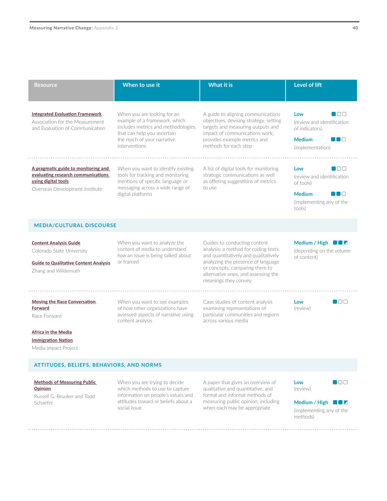| <b>Resource</b>                                                                                                                    | When to use it                                                                                                                                                                     | <b>What it is</b>                                                                                                                                                                                                                                  | <b>Level of lift</b>                                                                                                          |
|------------------------------------------------------------------------------------------------------------------------------------|------------------------------------------------------------------------------------------------------------------------------------------------------------------------------------|----------------------------------------------------------------------------------------------------------------------------------------------------------------------------------------------------------------------------------------------------|-------------------------------------------------------------------------------------------------------------------------------|
| <b>Integrated Evaluation Framework</b><br>Association for the Measurement<br>and Evaluation of Communication                       | When you are looking for an<br>example of a framework, which<br>includes metrics and methodologies,<br>that can help you ascertain<br>the reach of your narrative<br>interventions | A guide to aligning communications<br>objectives, devising strategy, setting<br>targets and measuring outputs and<br>impact of communications work;<br>provides example metrics and<br>methods for each step                                       | naa<br>Low<br>(review and identification<br>of indicators)<br><b>Medium</b><br>$\blacksquare \square$<br>(implementation)     |
| A pragmatic guide to monitoring and<br>evaluating research communications<br>using digital tools<br>Overseas Development Institute | When you want to identify existing<br>tools for tracking and monitoring<br>mentions of specific language or<br>messaging across a wide range of<br>digital platforms               | A list of digital tools for monitoring<br>strategic communications as well<br>as offering suggestions of metrics<br>to use                                                                                                                         | $\blacksquare$<br>Low<br>(review and identification<br>of tools)<br><b>Medium</b><br>∎⊓<br>(implementing any of the<br>tools) |
| <b>MEDIA/CULTURAL DISCOURSE</b>                                                                                                    |                                                                                                                                                                                    |                                                                                                                                                                                                                                                    |                                                                                                                               |
| <b>Content Analysis Guide</b><br>Colorado State University<br><b>Guide to Qualitative Content Analysis</b><br>Zhang and Wildemuth  | When you want to analyze the<br>content of media to understand<br>how an issue is being talked about<br>or framed                                                                  | Guides to conducting content<br>analysis: a method for coding texts<br>and quantitatively and qualitatively<br>analyzing the presence of language<br>or concepts, comparing them to<br>alternative ones, and assessing the<br>meanings they convey | Medium / High $\blacksquare$ $\blacksquare$ $\blacksquare$<br>(depending on the volume<br>of content)                         |
| <b>Moving the Race Conversation</b>                                                                                                | When you want to see examples                                                                                                                                                      | Case studies of content analysis                                                                                                                                                                                                                   | noo<br>Low                                                                                                                    |

**[Moving the Race Conversation](https://act.colorlines.com/acton/attachment/1069/f-0114/1/-/-/-/-/Racial_Discourse_Part_1.PDF)  [Forward](https://act.colorlines.com/acton/attachment/1069/f-0114/1/-/-/-/-/Racial_Discourse_Part_1.PDF)**

Race Forward

**[Africa in the Media](http://www.mediaimpactproject.org/uploads/5/1/2/7/5127770/africainthemedia2019.pdf)**

**[Immigration Nation](http://www.mediaimpactproject.org/uploads/5/1/2/7/5127770/immigration_nation_report_final_1.pdf)** Media Impact Project

#### **ATTITUDES, BELIEFS, BEHAVIORS, AND NORMS**

#### **[Methods of Measuring Public](http://www.uky.edu/AS/PoliSci/Peffley/pdf/473Measuring%20Public%20Opinion.pdf)  [Opinion](http://www.uky.edu/AS/PoliSci/Peffley/pdf/473Measuring%20Public%20Opinion.pdf)**

Russell G. Brooker and Todd Schaefer

When you are trying to decide which methods to use to capture information on people's values and attitudes toward or beliefs about a social issue

of how other organizations have assessed aspects of narrative using

content analysis

A paper that gives an overview of qualitative and quantitative, and formal and informal methods of measuring public opinion, including when each may be appropriate

examining representations of particular communities and regions

across various media

**Low**  (review)

(review)



**Medium / High**  (implementing any of the methods)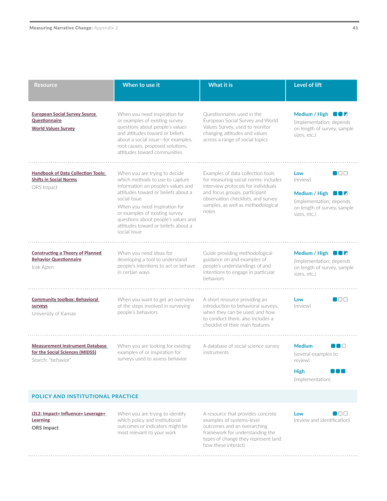| Resource                                                                                        | When to use it                                                                                                                                                                                                                                                                                                                 | <b>What it is</b>                                                                                                                                                                                                                      | <b>Level of lift</b>                                                                                                                                              |
|-------------------------------------------------------------------------------------------------|--------------------------------------------------------------------------------------------------------------------------------------------------------------------------------------------------------------------------------------------------------------------------------------------------------------------------------|----------------------------------------------------------------------------------------------------------------------------------------------------------------------------------------------------------------------------------------|-------------------------------------------------------------------------------------------------------------------------------------------------------------------|
| <b>European Social Survey Source</b><br><b>Questionnaire</b><br><b>World Values Survey</b>      | When you need inspiration for<br>or examples of existing survey<br>questions about people's values<br>and attitudes toward or beliefs<br>about a social issue-for examples,<br>root causes, proposed solutions,<br>attitudes toward communities                                                                                | Questionnaires used in the<br>European Social Survey and World<br>Values Survey, used to monitor<br>changing attitudes and values<br>across a range of social topics                                                                   | Medium / High $\blacksquare$ $\blacksquare$ $\blacksquare$<br>(implementation; depends)<br>on length of survey, sample<br>sizes. etc.)                            |
| <b>Handbook of Data Collection Tools:</b><br><b>Shifts in Social Norms</b><br>ORS Impact        | When you are trying to decide<br>which methods to use to capture<br>information on people's values and<br>attitudes toward or beliefs about a<br>social issue<br>When you need inspiration for<br>or examples of existing survey<br>questions about people's values and<br>attitudes toward or beliefs about a<br>social issue | Examples of data collection tools<br>for measuring social norms: includes<br>interview protocols for individuals<br>and focus groups, participant<br>observation checklists, and survey<br>samples, as well as methodological<br>notes | $\blacksquare$ $\square$ $\square$<br>Low<br>(review)<br>Medium / High $\blacksquare$<br>(implementation; depends)<br>on length of survey, sample<br>sizes. etc.) |
| <b>Constructing a Theory of Planned</b><br><b>Behavior Questionnaire</b><br>Icek Ajzen          | When you need ideas for<br>developing a tool to understand<br>people's intentions to act or behave<br>in certain ways                                                                                                                                                                                                          | Guide providing methodological<br>guidance on and examples of<br>people's understandings of and<br>intentions to engage in particular<br>behaviors                                                                                     | Medium / High $\Box$<br>(implementation; depends)<br>on length of survey, sample<br>sizes, etc.)                                                                  |
| <b>Community toolbox: Behavioral</b><br>surveys<br>University of Kansas                         | When you want to get an overview<br>of the steps involved in surveying<br>people's behaviors                                                                                                                                                                                                                                   | A short resource providing an<br>introduction to behavioral surveys,<br>when they can be used, and how<br>to conduct them: also includes a<br>checklist of their main features                                                         | $\blacksquare$ $\Box$ $\Box$<br>Low<br>(review)                                                                                                                   |
| <b>Measurement Instrument Database</b><br>for the Social Sciences (MIDSS)<br>Search: "behavior" | When you are looking for existing<br>examples of or inspiration for<br>surveys used to assess behavior                                                                                                                                                                                                                         | A database of social science survey<br>instruments                                                                                                                                                                                     | <b>Medium</b><br>n in<br>(several examples to<br>review)<br><b>High</b><br>(implementation)                                                                       |

#### **POLICY AND INSTITUTIONAL PRACTICE**

**[I2L2: Impact= Influence+ Leverage+](http://orsimpact.com/DirectoryAttachments/132018_23544_635_I2L2_LAYOUT_FINAL.pdf)  [Learning](http://orsimpact.com/DirectoryAttachments/132018_23544_635_I2L2_LAYOUT_FINAL.pdf) ORS Impact**

When you are trying to identify which policy and institutional outcomes or indicators might be most relevant to your work

A resource that provides concrete examples of systems-level outcomes and an overarching framework for understanding the types of change they represent (and how these interact)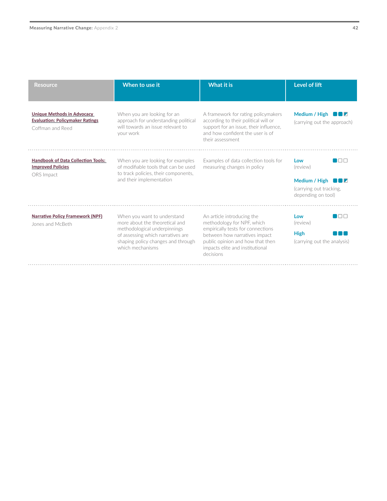| ۰, |
|----|

| <b>Resource</b>                                                                                 | When to use it                                                                                                                                                                               | <b>What it is</b>                                                                                                                                                                                                  | Level of lift                                                                             |
|-------------------------------------------------------------------------------------------------|----------------------------------------------------------------------------------------------------------------------------------------------------------------------------------------------|--------------------------------------------------------------------------------------------------------------------------------------------------------------------------------------------------------------------|-------------------------------------------------------------------------------------------|
| <b>Unique Methods in Advocacy</b><br><b>Evaluation: Policymaker Ratings</b><br>Coffman and Reed | When you are looking for an<br>approach for understanding political<br>will towards an issue relevant to<br>your work                                                                        | A framework for rating policymakers<br>according to their political will or<br>support for an issue, their influence,<br>and how confident the user is of<br>their assessment.                                     | Medium / High $\blacksquare$ $\blacksquare$ $\blacksquare$<br>(carrying out the approach) |
| <b>Handbook of Data Collection Tools:</b><br><b>Improved Policies</b><br>ORS Impact             | When you are looking for examples<br>of modifiable tools that can be used<br>to track policies, their components,<br>and their implementation                                                | Examples of data collection tools for<br>measuring changes in policy                                                                                                                                               | nnn<br>Low<br>(review)<br>Medium / High<br>(carrying out tracking,<br>depending on tool)  |
| <b>Narrative Policy Framework (NPF)</b><br>Jones and McBeth                                     | When you want to understand<br>more about the theoretical and<br>methodological underpinnings<br>of assessing which narratives are<br>shaping policy changes and through<br>which mechanisms | An article introducing the<br>methodology for NPF, which<br>empirically tests for connections<br>between how narratives impact<br>public opinion and how that then<br>impacts elite and institutional<br>decisions | ∎⊓⊓<br>Low<br>(review)<br><b>High</b><br>(carrying out the analysis)                      |